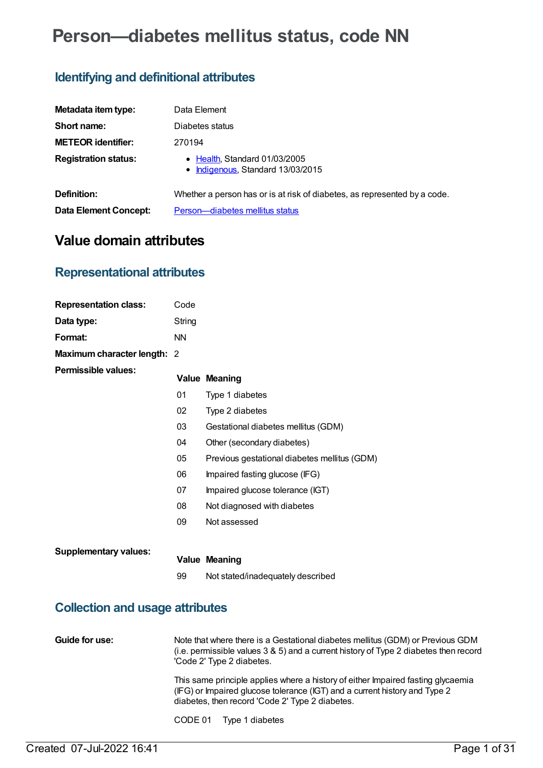# **Person—diabetes mellitus status, code NN**

### **Identifying and definitional attributes**

| Metadata item type:         | Data Element                                                              |
|-----------------------------|---------------------------------------------------------------------------|
| Short name:                 | Diabetes status                                                           |
| <b>METEOR identifier:</b>   | 270194                                                                    |
| <b>Registration status:</b> | • Health, Standard 01/03/2005<br>• Indigenous, Standard 13/03/2015        |
| Definition:                 | Whether a person has or is at risk of diabetes, as represented by a code. |
| Data Element Concept:       | Person-diabetes mellitus status                                           |

## **Value domain attributes**

### **Representational attributes**

| <b>Representation class:</b> | Code      |                                              |
|------------------------------|-----------|----------------------------------------------|
| Data type:                   | String    |                                              |
| Format:                      | <b>NN</b> |                                              |
| Maximum character length: 2  |           |                                              |
| Permissible values:          |           | <b>Value Meaning</b>                         |
|                              | 01        | Type 1 diabetes                              |
|                              | 02        | Type 2 diabetes                              |
|                              | 03        | Gestational diabetes mellitus (GDM)          |
|                              | 04        | Other (secondary diabetes)                   |
|                              | 05        | Previous gestational diabetes mellitus (GDM) |
|                              | 06        | Impaired fasting glucose (IFG)               |
|                              | 07        | Impaired glucose tolerance (IGT)             |
|                              | 08        | Not diagnosed with diabetes                  |
|                              | 09        | Not assessed                                 |
|                              |           |                                              |
| <b>Supplementary values:</b> |           | <b>Value Meaning</b>                         |
|                              | 99        | Not stated/inadequately described            |
|                              |           |                                              |

### **Collection and usage attributes**

**Guide for use:** Note that where there is a Gestational diabetes mellitus (GDM) or Previous GDM (i.e. permissible values 3 & 5) and a current history of Type 2 diabetes then record 'Code 2' Type 2 diabetes. This same principle applies where a history of either Impaired fasting glycaemia (IFG) or Impaired glucose tolerance (IGT) and a current history and Type 2 diabetes, then record 'Code 2' Type 2 diabetes.

CODE 01 Type 1 diabetes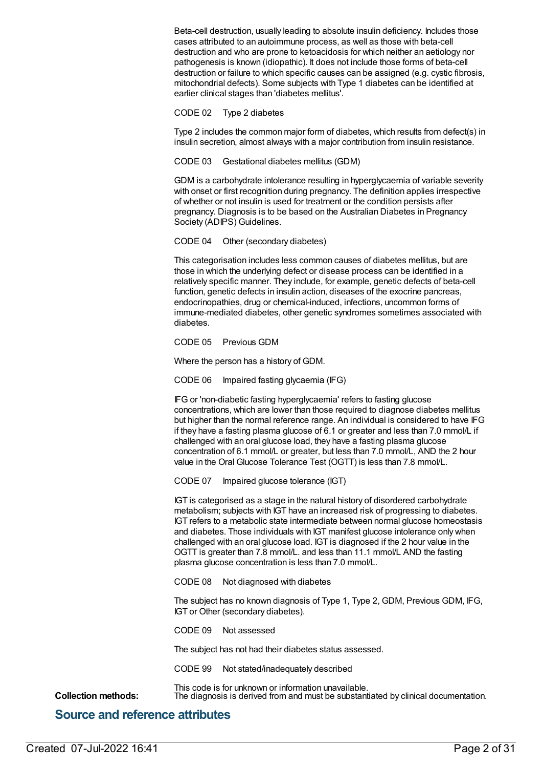Beta-cell destruction, usually leading to absolute insulin deficiency. Includes those cases attributed to an autoimmune process, as well as those with beta-cell destruction and who are prone to ketoacidosis for which neither an aetiology nor pathogenesis is known (idiopathic). It does not include those forms of beta-cell destruction or failure to which specific causes can be assigned (e.g. cystic fibrosis, mitochondrial defects). Some subjects with Type 1 diabetes can be identified at earlier clinical stages than 'diabetes mellitus'.

#### CODE 02 Type 2 diabetes

Type 2 includes the common major form of diabetes, which results from defect(s) in insulin secretion, almost always with a major contribution from insulin resistance.

CODE 03 Gestational diabetes mellitus (GDM)

GDM is a carbohydrate intolerance resulting in hyperglycaemia of variable severity with onset or first recognition during pregnancy. The definition applies irrespective of whether or not insulin is used for treatment or the condition persists after pregnancy. Diagnosis is to be based on the Australian Diabetes in Pregnancy Society (ADIPS) Guidelines.

#### CODE 04 Other (secondary diabetes)

This categorisation includes less common causes of diabetes mellitus, but are those in which the underlying defect or disease process can be identified in a relatively specific manner. They include, for example, genetic defects of beta-cell function, genetic defects in insulin action, diseases of the exocrine pancreas, endocrinopathies, drug or chemical-induced, infections, uncommon forms of immune-mediated diabetes, other genetic syndromes sometimes associated with diabetes.

#### CODE 05 Previous GDM

Where the person has a history of GDM.

CODE 06 Impaired fasting glycaemia (IFG)

IFG or 'non-diabetic fasting hyperglycaemia' refers to fasting glucose concentrations, which are lower than those required to diagnose diabetes mellitus but higher than the normal reference range. An individual is considered to have IFG if they have a fasting plasma glucose of 6.1 or greater and less than 7.0 mmol/L if challenged with an oral glucose load, they have a fasting plasma glucose concentration of 6.1 mmol/L or greater, but less than 7.0 mmol/L, AND the 2 hour value in the Oral Glucose Tolerance Test (OGTT) is less than 7.8 mmol/L.

CODE 07 Impaired glucose tolerance (IGT)

IGT is categorised as a stage in the natural history of disordered carbohydrate metabolism; subjects with IGT have an increased risk of progressing to diabetes. IGT refers to a metabolic state intermediate between normal glucose homeostasis and diabetes. Those individuals with IGT manifest glucose intolerance only when challenged with an oral glucose load. IGT is diagnosed if the 2 hour value in the OGTT is greater than 7.8 mmol/L. and less than 11.1 mmol/L AND the fasting plasma glucose concentration is less than 7.0 mmol/L.

CODE 08 Not diagnosed with diabetes

The subject has no known diagnosis of Type 1, Type 2, GDM, Previous GDM, IFG, IGT or Other (secondary diabetes).

CODE 09 Not assessed

The subject has not had their diabetes status assessed.

CODE 99 Not stated/inadequately described

This code is for unknown or information unavailable. **Collection methods:** The diagnosis is derived from and must be substantiated by clinical documentation.

### **Source and reference attributes**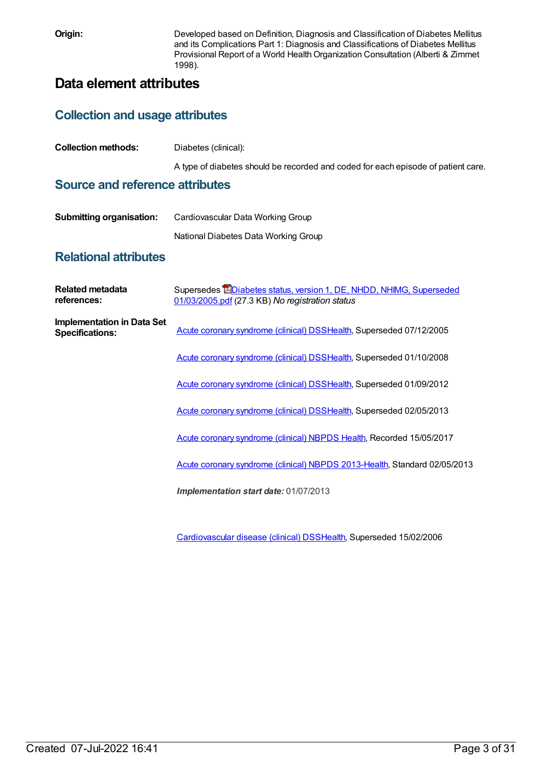**Origin:** Developed based on Definition, Diagnosis and Classification of Diabetes Mellitus and its Complications Part 1: Diagnosis and Classifications of Diabetes Mellitus Provisional Report of a World Health Organization Consultation (Alberti & Zimmet 1998).

### **Data element attributes**

### **Collection and usage attributes**

| <b>Collection methods:</b> | Diabetes (clinical): |  |
|----------------------------|----------------------|--|
|                            |                      |  |

A type of diabetes should be recorded and coded for each episode of patient care.

### **Source and reference attributes**

| <b>Submitting organisation:</b> | Cardiovascular Data Working Group    |  |
|---------------------------------|--------------------------------------|--|
|                                 | National Diabetes Data Working Group |  |

### **Relational attributes**

| Related metadata<br>references:                             | Supersedes <b>EDiabetes status, version 1, DE, NHDD, NHIMG, Superseded</b><br>01/03/2005.pdf (27.3 KB) No registration status |
|-------------------------------------------------------------|-------------------------------------------------------------------------------------------------------------------------------|
| <b>Implementation in Data Set</b><br><b>Specifications:</b> | Acute coronary syndrome (clinical) DSSHealth, Superseded 07/12/2005                                                           |
|                                                             | Acute coronary syndrome (clinical) DSSHealth, Superseded 01/10/2008                                                           |
|                                                             | Acute coronary syndrome (clinical) DSSHealth, Superseded 01/09/2012                                                           |
|                                                             | Acute coronary syndrome (clinical) DSSHealth, Superseded 02/05/2013                                                           |
|                                                             | Acute coronary syndrome (clinical) NBPDS Health, Recorded 15/05/2017                                                          |
|                                                             | Acute coronary syndrome (clinical) NBPDS 2013-Health, Standard 02/05/2013                                                     |
|                                                             | Implementation start date: 01/07/2013                                                                                         |
|                                                             |                                                                                                                               |

[Cardiovascular](https://meteor.aihw.gov.au/content/273052) disease (clinical) DS[SHealth,](https://meteor.aihw.gov.au/RegistrationAuthority/12) Superseded 15/02/2006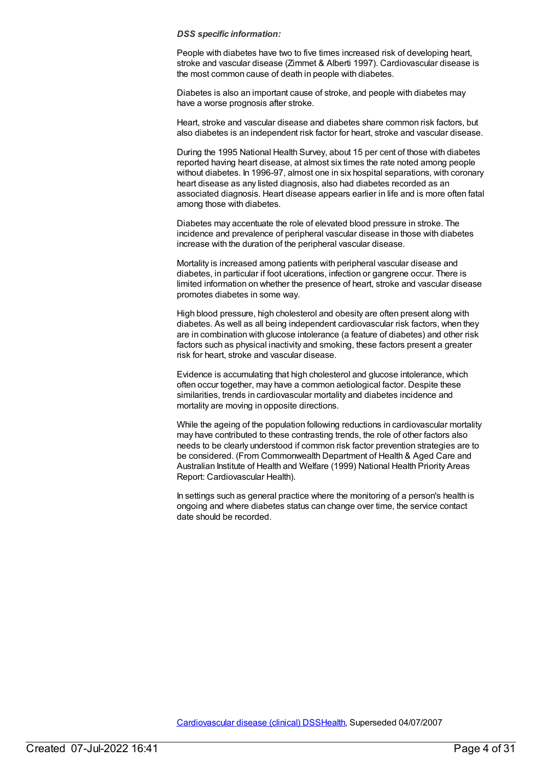People with diabetes have two to five times increased risk of developing heart, stroke and vascular disease (Zimmet & Alberti 1997). Cardiovascular disease is the most common cause of death in people with diabetes.

Diabetes is also an important cause of stroke, and people with diabetes may have a worse prognosis after stroke.

Heart, stroke and vascular disease and diabetes share common risk factors, but also diabetes is an independent risk factor for heart, stroke and vascular disease.

During the 1995 National Health Survey, about 15 per cent of those with diabetes reported having heart disease, at almost six times the rate noted among people without diabetes. In 1996-97, almost one in six hospital separations, with coronary heart disease as any listed diagnosis, also had diabetes recorded as an associated diagnosis. Heart disease appears earlier in life and is more often fatal among those with diabetes.

Diabetes may accentuate the role of elevated blood pressure in stroke. The incidence and prevalence of peripheral vascular disease in those with diabetes increase with the duration of the peripheral vascular disease.

Mortality is increased among patients with peripheral vascular disease and diabetes, in particular if foot ulcerations, infection or gangrene occur. There is limited information on whether the presence of heart, stroke and vascular disease promotes diabetes in some way.

High blood pressure, high cholesterol and obesity are often present along with diabetes. As well as all being independent cardiovascular risk factors, when they are in combination with glucose intolerance (a feature of diabetes) and other risk factors such as physical inactivity and smoking, these factors present a greater risk for heart, stroke and vascular disease.

Evidence is accumulating that high cholesterol and glucose intolerance, which often occur together, may have a common aetiological factor. Despite these similarities, trends in cardiovascular mortality and diabetes incidence and mortality are moving in opposite directions.

While the ageing of the population following reductions in cardiovascular mortality may have contributed to these contrasting trends, the role of other factors also needs to be clearly understood if common risk factor prevention strategies are to be considered. (From Commonwealth Department of Health & Aged Care and Australian Institute of Health and Welfare (1999) National Health Priority Areas Report: Cardiovascular Health).

In settings such as general practice where the monitoring of a person's health is ongoing and where diabetes status can change over time, the service contact date should be recorded.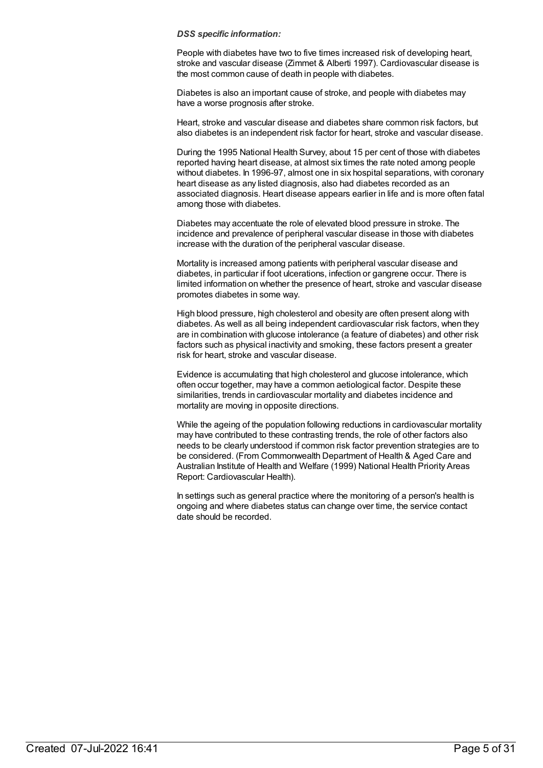People with diabetes have two to five times increased risk of developing heart, stroke and vascular disease (Zimmet & Alberti 1997). Cardiovascular disease is the most common cause of death in people with diabetes.

Diabetes is also an important cause of stroke, and people with diabetes may have a worse prognosis after stroke.

Heart, stroke and vascular disease and diabetes share common risk factors, but also diabetes is an independent risk factor for heart, stroke and vascular disease.

During the 1995 National Health Survey, about 15 per cent of those with diabetes reported having heart disease, at almost six times the rate noted among people without diabetes. In 1996-97, almost one in six hospital separations, with coronary heart disease as any listed diagnosis, also had diabetes recorded as an associated diagnosis. Heart disease appears earlier in life and is more often fatal among those with diabetes.

Diabetes may accentuate the role of elevated blood pressure in stroke. The incidence and prevalence of peripheral vascular disease in those with diabetes increase with the duration of the peripheral vascular disease.

Mortality is increased among patients with peripheral vascular disease and diabetes, in particular if foot ulcerations, infection or gangrene occur. There is limited information on whether the presence of heart, stroke and vascular disease promotes diabetes in some way.

High blood pressure, high cholesterol and obesity are often present along with diabetes. As well as all being independent cardiovascular risk factors, when they are in combination with glucose intolerance (a feature of diabetes) and other risk factors such as physical inactivity and smoking, these factors present a greater risk for heart, stroke and vascular disease.

Evidence is accumulating that high cholesterol and glucose intolerance, which often occur together, may have a common aetiological factor. Despite these similarities, trends in cardiovascular mortality and diabetes incidence and mortality are moving in opposite directions.

While the ageing of the population following reductions in cardiovascular mortality may have contributed to these contrasting trends, the role of other factors also needs to be clearly understood if common risk factor prevention strategies are to be considered. (From Commonwealth Department of Health & Aged Care and Australian Institute of Health and Welfare (1999) National Health Priority Areas Report: Cardiovascular Health).

In settings such as general practice where the monitoring of a person's health is ongoing and where diabetes status can change over time, the service contact date should be recorded.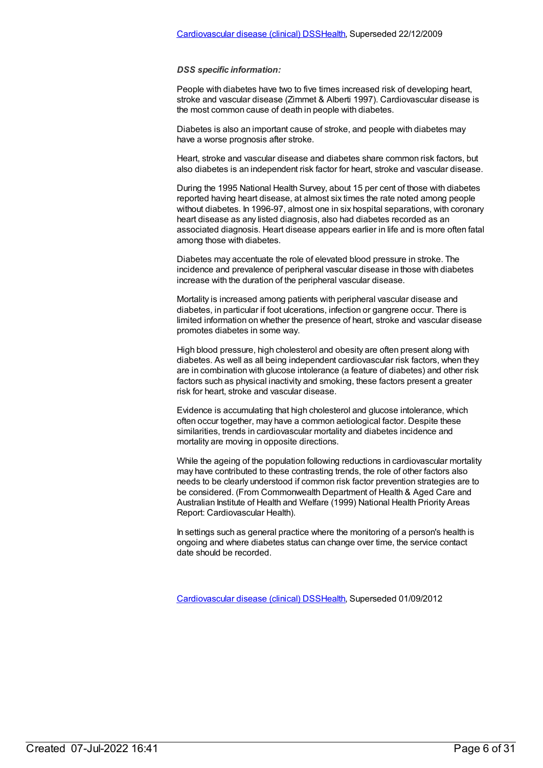People with diabetes have two to five times increased risk of developing heart, stroke and vascular disease (Zimmet & Alberti 1997). Cardiovascular disease is the most common cause of death in people with diabetes.

Diabetes is also an important cause of stroke, and people with diabetes may have a worse prognosis after stroke.

Heart, stroke and vascular disease and diabetes share common risk factors, but also diabetes is an independent risk factor for heart, stroke and vascular disease.

During the 1995 National Health Survey, about 15 per cent of those with diabetes reported having heart disease, at almost six times the rate noted among people without diabetes. In 1996-97, almost one in six hospital separations, with coronary heart disease as any listed diagnosis, also had diabetes recorded as an associated diagnosis. Heart disease appears earlier in life and is more often fatal among those with diabetes.

Diabetes may accentuate the role of elevated blood pressure in stroke. The incidence and prevalence of peripheral vascular disease in those with diabetes increase with the duration of the peripheral vascular disease.

Mortality is increased among patients with peripheral vascular disease and diabetes, in particular if foot ulcerations, infection or gangrene occur. There is limited information on whether the presence of heart, stroke and vascular disease promotes diabetes in some way.

High blood pressure, high cholesterol and obesity are often present along with diabetes. As well as all being independent cardiovascular risk factors, when they are in combination with glucose intolerance (a feature of diabetes) and other risk factors such as physical inactivity and smoking, these factors present a greater risk for heart, stroke and vascular disease.

Evidence is accumulating that high cholesterol and glucose intolerance, which often occur together, may have a common aetiological factor. Despite these similarities, trends in cardiovascular mortality and diabetes incidence and mortality are moving in opposite directions.

While the ageing of the population following reductions in cardiovascular mortality may have contributed to these contrasting trends, the role of other factors also needs to be clearly understood if common risk factor prevention strategies are to be considered. (From Commonwealth Department of Health & Aged Care and Australian Institute of Health and Welfare (1999) National Health Priority Areas Report: Cardiovascular Health).

In settings such as general practice where the monitoring of a person's health is ongoing and where diabetes status can change over time, the service contact date should be recorded.

[Cardiovascular](https://meteor.aihw.gov.au/content/374213) disease (clinical) DS[SHealth,](https://meteor.aihw.gov.au/RegistrationAuthority/12) Superseded 01/09/2012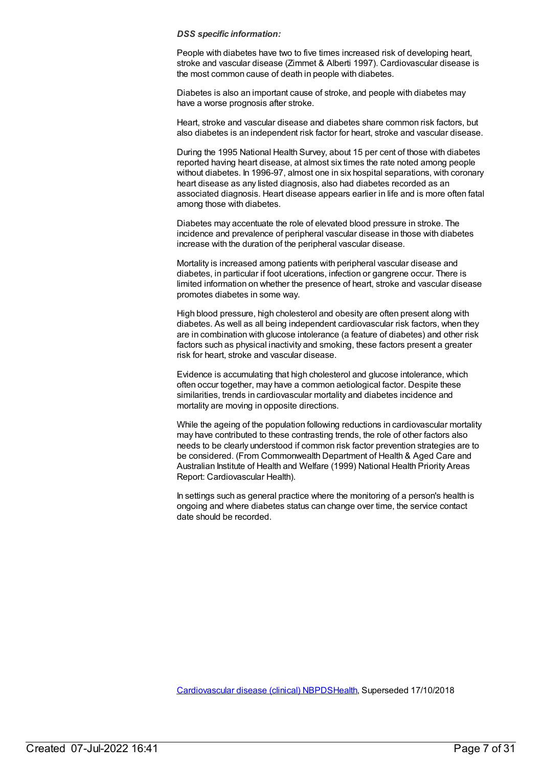People with diabetes have two to five times increased risk of developing heart, stroke and vascular disease (Zimmet & Alberti 1997). Cardiovascular disease is the most common cause of death in people with diabetes.

Diabetes is also an important cause of stroke, and people with diabetes may have a worse prognosis after stroke.

Heart, stroke and vascular disease and diabetes share common risk factors, but also diabetes is an independent risk factor for heart, stroke and vascular disease.

During the 1995 National Health Survey, about 15 per cent of those with diabetes reported having heart disease, at almost six times the rate noted among people without diabetes. In 1996-97, almost one in six hospital separations, with coronary heart disease as any listed diagnosis, also had diabetes recorded as an associated diagnosis. Heart disease appears earlier in life and is more often fatal among those with diabetes.

Diabetes may accentuate the role of elevated blood pressure in stroke. The incidence and prevalence of peripheral vascular disease in those with diabetes increase with the duration of the peripheral vascular disease.

Mortality is increased among patients with peripheral vascular disease and diabetes, in particular if foot ulcerations, infection or gangrene occur. There is limited information on whether the presence of heart, stroke and vascular disease promotes diabetes in some way.

High blood pressure, high cholesterol and obesity are often present along with diabetes. As well as all being independent cardiovascular risk factors, when they are in combination with glucose intolerance (a feature of diabetes) and other risk factors such as physical inactivity and smoking, these factors present a greater risk for heart, stroke and vascular disease.

Evidence is accumulating that high cholesterol and glucose intolerance, which often occur together, may have a common aetiological factor. Despite these similarities, trends in cardiovascular mortality and diabetes incidence and mortality are moving in opposite directions.

While the ageing of the population following reductions in cardiovascular mortality may have contributed to these contrasting trends, the role of other factors also needs to be clearly understood if common risk factor prevention strategies are to be considered. (From Commonwealth Department of Health & Aged Care and Australian Institute of Health and Welfare (1999) National Health Priority Areas Report: Cardiovascular Health).

In settings such as general practice where the monitoring of a person's health is ongoing and where diabetes status can change over time, the service contact date should be recorded.

[Cardiovascular](https://meteor.aihw.gov.au/content/470731) disease (clinical) NBPD[SHealth](https://meteor.aihw.gov.au/RegistrationAuthority/12), Superseded 17/10/2018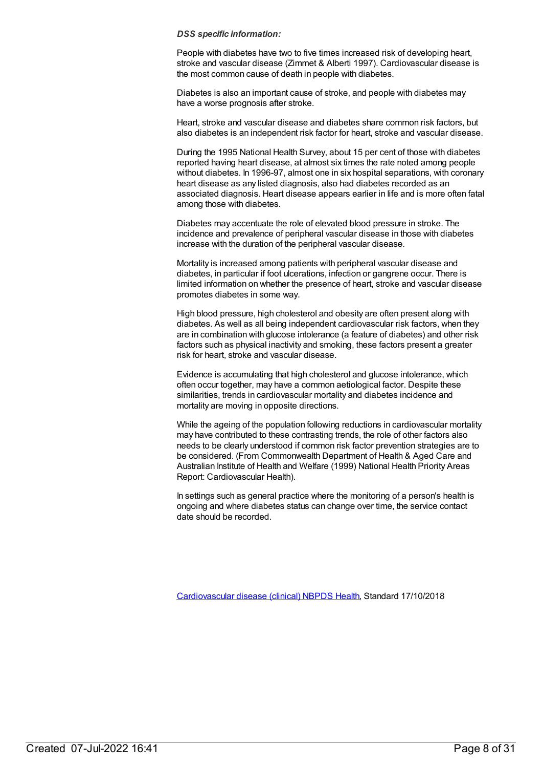People with diabetes have two to five times increased risk of developing heart, stroke and vascular disease (Zimmet & Alberti 1997). Cardiovascular disease is the most common cause of death in people with diabetes.

Diabetes is also an important cause of stroke, and people with diabetes may have a worse prognosis after stroke.

Heart, stroke and vascular disease and diabetes share common risk factors, but also diabetes is an independent risk factor for heart, stroke and vascular disease.

During the 1995 National Health Survey, about 15 per cent of those with diabetes reported having heart disease, at almost six times the rate noted among people without diabetes. In 1996-97, almost one in six hospital separations, with coronary heart disease as any listed diagnosis, also had diabetes recorded as an associated diagnosis. Heart disease appears earlier in life and is more often fatal among those with diabetes.

Diabetes may accentuate the role of elevated blood pressure in stroke. The incidence and prevalence of peripheral vascular disease in those with diabetes increase with the duration of the peripheral vascular disease.

Mortality is increased among patients with peripheral vascular disease and diabetes, in particular if foot ulcerations, infection or gangrene occur. There is limited information on whether the presence of heart, stroke and vascular disease promotes diabetes in some way.

High blood pressure, high cholesterol and obesity are often present along with diabetes. As well as all being independent cardiovascular risk factors, when they are in combination with glucose intolerance (a feature of diabetes) and other risk factors such as physical inactivity and smoking, these factors present a greater risk for heart, stroke and vascular disease.

Evidence is accumulating that high cholesterol and glucose intolerance, which often occur together, may have a common aetiological factor. Despite these similarities, trends in cardiovascular mortality and diabetes incidence and mortality are moving in opposite directions.

While the ageing of the population following reductions in cardiovascular mortality may have contributed to these contrasting trends, the role of other factors also needs to be clearly understood if common risk factor prevention strategies are to be considered. (From Commonwealth Department of Health & Aged Care and Australian Institute of Health and Welfare (1999) National Health Priority Areas Report: Cardiovascular Health).

In settings such as general practice where the monitoring of a person's health is ongoing and where diabetes status can change over time, the service contact date should be recorded.

[Cardiovascular](https://meteor.aihw.gov.au/content/697668) disease (clinical) NBPDS [Health](https://meteor.aihw.gov.au/RegistrationAuthority/12), Standard 17/10/2018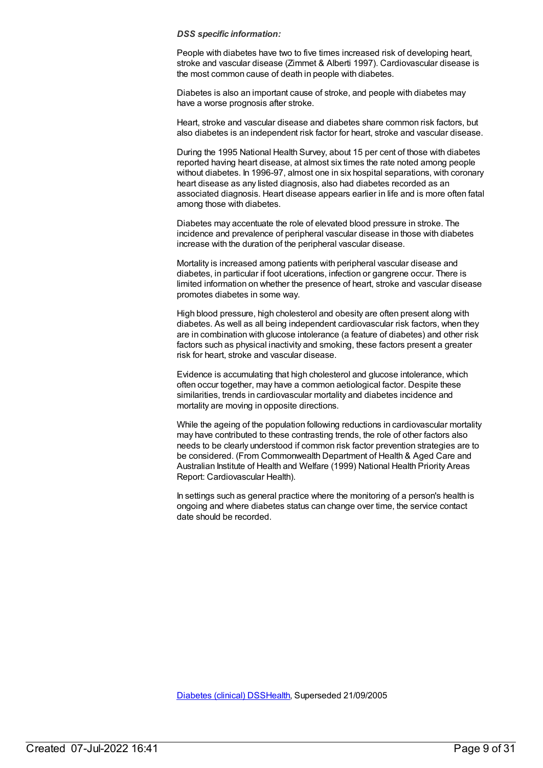People with diabetes have two to five times increased risk of developing heart, stroke and vascular disease (Zimmet & Alberti 1997). Cardiovascular disease is the most common cause of death in people with diabetes.

Diabetes is also an important cause of stroke, and people with diabetes may have a worse prognosis after stroke.

Heart, stroke and vascular disease and diabetes share common risk factors, but also diabetes is an independent risk factor for heart, stroke and vascular disease.

During the 1995 National Health Survey, about 15 per cent of those with diabetes reported having heart disease, at almost six times the rate noted among people without diabetes. In 1996-97, almost one in six hospital separations, with coronary heart disease as any listed diagnosis, also had diabetes recorded as an associated diagnosis. Heart disease appears earlier in life and is more often fatal among those with diabetes.

Diabetes may accentuate the role of elevated blood pressure in stroke. The incidence and prevalence of peripheral vascular disease in those with diabetes increase with the duration of the peripheral vascular disease.

Mortality is increased among patients with peripheral vascular disease and diabetes, in particular if foot ulcerations, infection or gangrene occur. There is limited information on whether the presence of heart, stroke and vascular disease promotes diabetes in some way.

High blood pressure, high cholesterol and obesity are often present along with diabetes. As well as all being independent cardiovascular risk factors, when they are in combination with glucose intolerance (a feature of diabetes) and other risk factors such as physical inactivity and smoking, these factors present a greater risk for heart, stroke and vascular disease.

Evidence is accumulating that high cholesterol and glucose intolerance, which often occur together, may have a common aetiological factor. Despite these similarities, trends in cardiovascular mortality and diabetes incidence and mortality are moving in opposite directions.

While the ageing of the population following reductions in cardiovascular mortality may have contributed to these contrasting trends, the role of other factors also needs to be clearly understood if common risk factor prevention strategies are to be considered. (From Commonwealth Department of Health & Aged Care and Australian Institute of Health and Welfare (1999) National Health Priority Areas Report: Cardiovascular Health).

In settings such as general practice where the monitoring of a person's health is ongoing and where diabetes status can change over time, the service contact date should be recorded.

[Diabetes](https://meteor.aihw.gov.au/content/273054) (clinical) DSS[Health](https://meteor.aihw.gov.au/RegistrationAuthority/12), Superseded 21/09/2005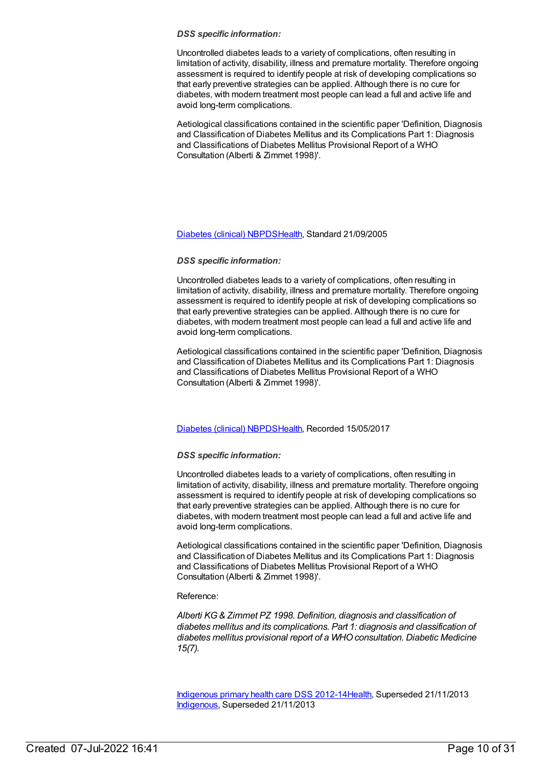Uncontrolled diabetes leads to a variety of complications, often resulting in limitation of activity, disability, illness and premature mortality. Therefore ongoing assessment is required to identify people at risk of developing complications so that early preventive strategies can be applied. Although there is no cure for diabetes, with modern treatment most people can lead a full and active life and avoid long-term complications.

Aetiological classifications contained in the scientific paper 'Definition, Diagnosis and Classification of Diabetes Mellitus and its Complications Part 1: Diagnosis and Classifications of Diabetes Mellitus Provisional Report of a WHO Consultation (Alberti & Zimmet 1998)'.

#### [Diabetes](https://meteor.aihw.gov.au/content/304865) (clinical) NBPD[SHealth](https://meteor.aihw.gov.au/RegistrationAuthority/12), Standard 21/09/2005

#### *DSS specific information:*

Uncontrolled diabetes leads to a variety of complications, often resulting in limitation of activity, disability, illness and premature mortality. Therefore ongoing assessment is required to identify people at risk of developing complications so that early preventive strategies can be applied. Although there is no cure for diabetes, with modern treatment most people can lead a full and active life and avoid long-term complications.

Aetiological classifications contained in the scientific paper 'Definition, Diagnosis and Classification of Diabetes Mellitus and its Complications Part 1: Diagnosis and Classifications of Diabetes Mellitus Provisional Report of a WHO Consultation (Alberti & Zimmet 1998)'.

#### [Diabetes](https://meteor.aihw.gov.au/content/621784) (clinical) NBPD[SHealth](https://meteor.aihw.gov.au/RegistrationAuthority/12), Recorded 15/05/2017

#### *DSS specific information:*

Uncontrolled diabetes leads to a variety of complications, often resulting in limitation of activity, disability, illness and premature mortality. Therefore ongoing assessment is required to identify people at risk of developing complications so that early preventive strategies can be applied. Although there is no cure for diabetes, with modern treatment most people can lead a full and active life and avoid long-term complications.

Aetiological classifications contained in the scientific paper 'Definition, Diagnosis and Classification of Diabetes Mellitus and its Complications Part 1: Diagnosis and Classifications of Diabetes Mellitus Provisional Report of a WHO Consultation (Alberti & Zimmet 1998)'.

#### Reference:

*Alberti KG& Zimmet PZ 1998. Definition, diagnosis and classification of diabetes mellitus and its complications. Part 1: diagnosis and classification of diabetes mellitus provisional report of a WHOconsultation. Diabetic Medicine 15(7).*

[Indigenous](https://meteor.aihw.gov.au/content/430629) primary health care DSS 2012-1[4Health](https://meteor.aihw.gov.au/RegistrationAuthority/12), Superseded 21/11/2013 [Indigenous](https://meteor.aihw.gov.au/RegistrationAuthority/6), Superseded 21/11/2013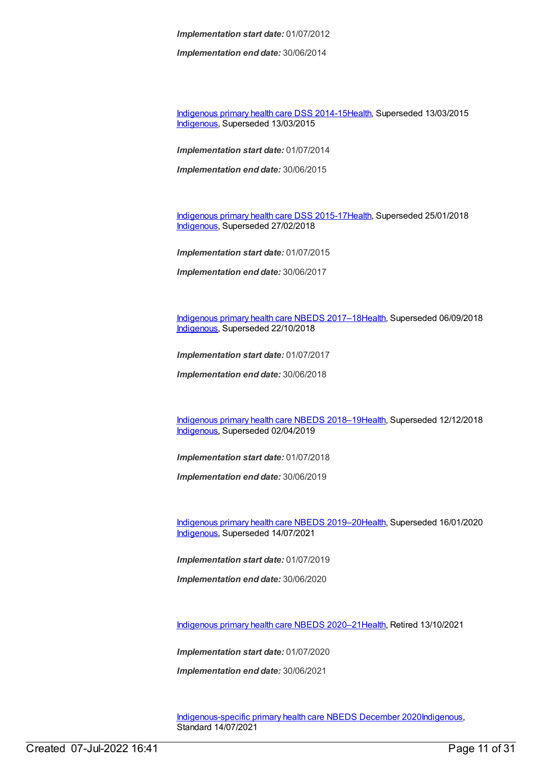*Implementation start date:* 01/07/2012

*Implementation end date:* 30/06/2014

[Indigenous](https://meteor.aihw.gov.au/content/504325) primary health care DSS 2014-1[5Health](https://meteor.aihw.gov.au/RegistrationAuthority/12), Superseded 13/03/2015 [Indigenous](https://meteor.aihw.gov.au/RegistrationAuthority/6), Superseded 13/03/2015

*Implementation start date:* 01/07/2014

*Implementation end date:* 30/06/2015

[Indigenous](https://meteor.aihw.gov.au/content/585036) primary health care DSS 2015-1[7Health](https://meteor.aihw.gov.au/RegistrationAuthority/12), Superseded 25/01/2018 [Indigenous](https://meteor.aihw.gov.au/RegistrationAuthority/6), Superseded 27/02/2018

*Implementation start date:* 01/07/2015

*Implementation end date:* 30/06/2017

[Indigenous](https://meteor.aihw.gov.au/content/686603) primary health care NBEDS 2017–18[Health](https://meteor.aihw.gov.au/RegistrationAuthority/12), Superseded 06/09/2018 [Indigenous](https://meteor.aihw.gov.au/RegistrationAuthority/6), Superseded 22/10/2018

*Implementation start date:* 01/07/2017

*Implementation end date:* 30/06/2018

[Indigenous](https://meteor.aihw.gov.au/content/694101) primary health care NBEDS 2018–19[Health](https://meteor.aihw.gov.au/RegistrationAuthority/12), Superseded 12/12/2018 [Indigenous](https://meteor.aihw.gov.au/RegistrationAuthority/6), Superseded 02/04/2019

*Implementation start date:* 01/07/2018

*Implementation end date:* 30/06/2019

[Indigenous](https://meteor.aihw.gov.au/content/707502) primary health care NBEDS 2019–20[Health](https://meteor.aihw.gov.au/RegistrationAuthority/12), Superseded 16/01/2020 [Indigenous](https://meteor.aihw.gov.au/RegistrationAuthority/6), Superseded 14/07/2021

*Implementation start date:* 01/07/2019

*Implementation end date:* 30/06/2020

[Indigenous](https://meteor.aihw.gov.au/content/715320) primary health care NBEDS 2020–21[Health](https://meteor.aihw.gov.au/RegistrationAuthority/12), Retired 13/10/2021

*Implementation start date:* 01/07/2020

*Implementation end date:* 30/06/2021

[Indigenous-specific](https://meteor.aihw.gov.au/content/738532) primary health care NBEDS December 2020[Indigenous](https://meteor.aihw.gov.au/RegistrationAuthority/6), Standard 14/07/2021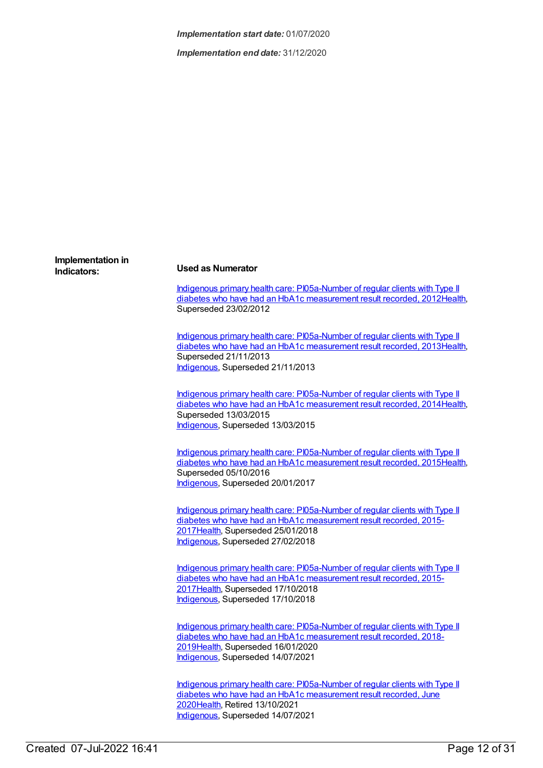*Implementation end date:* 31/12/2020

### **Implementation in Indicators: Used as Numerator**

Indigenous primary health care: [PI05a-Number](https://meteor.aihw.gov.au/content/432293) of regular clients with Type II diabetes who have had an HbA1c measurement result recorded, 201[2Health](https://meteor.aihw.gov.au/RegistrationAuthority/12), Superseded 23/02/2012

Indigenous primary health care: [PI05a-Number](https://meteor.aihw.gov.au/content/468094) of regular clients with Type II diabetes who have had an HbA1c measurement result recorded, 201[3Health](https://meteor.aihw.gov.au/RegistrationAuthority/12), Superseded 21/11/2013 [Indigenous](https://meteor.aihw.gov.au/RegistrationAuthority/6), Superseded 21/11/2013

Indigenous primary health care: [PI05a-Number](https://meteor.aihw.gov.au/content/504700) of regular clients with Type II diabetes who have had an HbA1c measurement result recorded, 201[4Health](https://meteor.aihw.gov.au/RegistrationAuthority/12), Superseded 13/03/2015 [Indigenous](https://meteor.aihw.gov.au/RegistrationAuthority/6), Superseded 13/03/2015

Indigenous primary health care: [PI05a-Number](https://meteor.aihw.gov.au/content/588993) of regular clients with Type II diabetes who have had an HbA1c measurement result recorded, 201[5Health](https://meteor.aihw.gov.au/RegistrationAuthority/12), Superseded 05/10/2016 [Indigenous](https://meteor.aihw.gov.au/RegistrationAuthority/6), Superseded 20/01/2017

Indigenous primary health care: [PI05a-Number](https://meteor.aihw.gov.au/content/663924) of regular clients with Type II diabetes who have had an HbA1c measurement result recorded, 2015- 201[7Health](https://meteor.aihw.gov.au/RegistrationAuthority/12), Superseded 25/01/2018 [Indigenous](https://meteor.aihw.gov.au/RegistrationAuthority/6), Superseded 27/02/2018

Indigenous primary health care: [PI05a-Number](https://meteor.aihw.gov.au/content/686420) of regular clients with Type II diabetes who have had an HbA1c measurement result recorded, 2015- 201[7Health](https://meteor.aihw.gov.au/RegistrationAuthority/12), Superseded 17/10/2018 [Indigenous](https://meteor.aihw.gov.au/RegistrationAuthority/6), Superseded 17/10/2018

Indigenous primary health care: [PI05a-Number](https://meteor.aihw.gov.au/content/687939) of regular clients with Type II diabetes who have had an HbA1c measurement result recorded, 2018- 201[9Health](https://meteor.aihw.gov.au/RegistrationAuthority/12), Superseded 16/01/2020 [Indigenous](https://meteor.aihw.gov.au/RegistrationAuthority/6), Superseded 14/07/2021

Indigenous primary health care: [PI05a-Number](https://meteor.aihw.gov.au/content/717283) of regular clients with Type II diabetes who have had an HbA1c measurement result recorded, June 202[0Health](https://meteor.aihw.gov.au/RegistrationAuthority/12), Retired 13/10/2021 [Indigenous](https://meteor.aihw.gov.au/RegistrationAuthority/6), Superseded 14/07/2021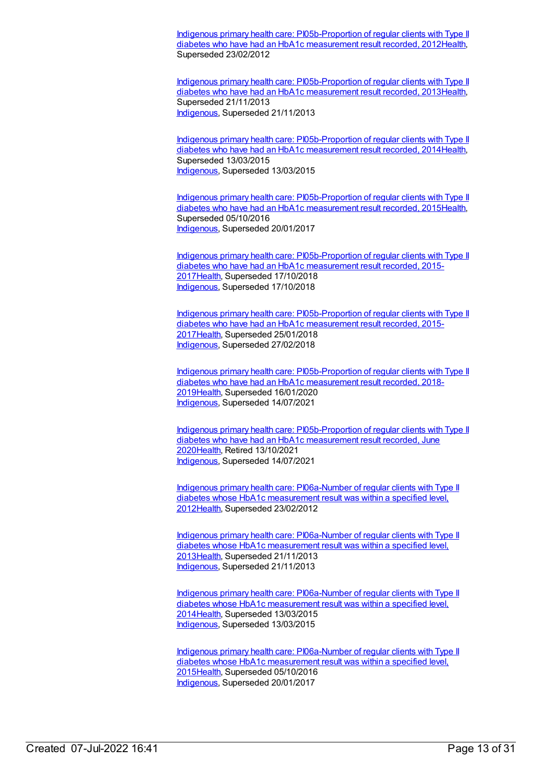Indigenous primary health care: [PI05b-Proportion](https://meteor.aihw.gov.au/content/432280) of regular clients with Type II diabetes who have had an HbA1c measurement result recorded, 201[2Health](https://meteor.aihw.gov.au/RegistrationAuthority/12), Superseded 23/02/2012

Indigenous primary health care: [PI05b-Proportion](https://meteor.aihw.gov.au/content/468096) of regular clients with Type II diabetes who have had an HbA1c measurement result recorded, 201[3Health](https://meteor.aihw.gov.au/RegistrationAuthority/12), Superseded 21/11/2013 [Indigenous](https://meteor.aihw.gov.au/RegistrationAuthority/6), Superseded 21/11/2013

Indigenous primary health care: [PI05b-Proportion](https://meteor.aihw.gov.au/content/504702) of regular clients with Type II diabetes who have had an HbA1c measurement result recorded, 201[4Health](https://meteor.aihw.gov.au/RegistrationAuthority/12), Superseded 13/03/2015 [Indigenous](https://meteor.aihw.gov.au/RegistrationAuthority/6), Superseded 13/03/2015

Indigenous primary health care: [PI05b-Proportion](https://meteor.aihw.gov.au/content/588995) of regular clients with Type II diabetes who have had an HbA1c measurement result recorded, 201[5Health](https://meteor.aihw.gov.au/RegistrationAuthority/12), Superseded 05/10/2016 [Indigenous](https://meteor.aihw.gov.au/RegistrationAuthority/6), Superseded 20/01/2017

Indigenous primary health care: [PI05b-Proportion](https://meteor.aihw.gov.au/content/686352) of regular clients with Type II diabetes who have had an HbA1c measurement result recorded, 2015- 201[7Health](https://meteor.aihw.gov.au/RegistrationAuthority/12), Superseded 17/10/2018 [Indigenous](https://meteor.aihw.gov.au/RegistrationAuthority/6), Superseded 17/10/2018

Indigenous primary health care: [PI05b-Proportion](https://meteor.aihw.gov.au/content/663926) of regular clients with Type II diabetes who have had an HbA1c measurement result recorded, 2015- 201[7Health](https://meteor.aihw.gov.au/RegistrationAuthority/12), Superseded 25/01/2018 [Indigenous](https://meteor.aihw.gov.au/RegistrationAuthority/6), Superseded 27/02/2018

Indigenous primary health care: [PI05b-Proportion](https://meteor.aihw.gov.au/content/687941) of regular clients with Type II diabetes who have had an HbA1c measurement result recorded, 2018- 201[9Health](https://meteor.aihw.gov.au/RegistrationAuthority/12), Superseded 16/01/2020 [Indigenous](https://meteor.aihw.gov.au/RegistrationAuthority/6), Superseded 14/07/2021

Indigenous primary health care: [PI05b-Proportion](https://meteor.aihw.gov.au/content/717285) of regular clients with Type II diabetes who have had an HbA1c measurement result recorded, June 202[0Health](https://meteor.aihw.gov.au/RegistrationAuthority/12), Retired 13/10/2021 [Indigenous](https://meteor.aihw.gov.au/RegistrationAuthority/6), Superseded 14/07/2021

Indigenous primary health care: [PI06a-Number](https://meteor.aihw.gov.au/content/438245) of regular clients with Type II diabetes whose HbA1c measurement result was within a specified level, 201[2Health](https://meteor.aihw.gov.au/RegistrationAuthority/12), Superseded 23/02/2012

Indigenous primary health care: [PI06a-Number](https://meteor.aihw.gov.au/content/468098) of regular clients with Type II diabetes whose HbA1c measurement result was within a specified level, 201[3Health](https://meteor.aihw.gov.au/RegistrationAuthority/12), Superseded 21/11/2013 [Indigenous](https://meteor.aihw.gov.au/RegistrationAuthority/6), Superseded 21/11/2013

Indigenous primary health care: [PI06a-Number](https://meteor.aihw.gov.au/content/504704) of regular clients with Type II diabetes whose HbA1c measurement result was within a specified level, 201[4Health](https://meteor.aihw.gov.au/RegistrationAuthority/12), Superseded 13/03/2015 [Indigenous](https://meteor.aihw.gov.au/RegistrationAuthority/6), Superseded 13/03/2015

Indigenous primary health care: [PI06a-Number](https://meteor.aihw.gov.au/content/592153) of regular clients with Type II diabetes whose HbA1c measurement result was within a specified level, 201[5Health](https://meteor.aihw.gov.au/RegistrationAuthority/12), Superseded 05/10/2016 [Indigenous](https://meteor.aihw.gov.au/RegistrationAuthority/6), Superseded 20/01/2017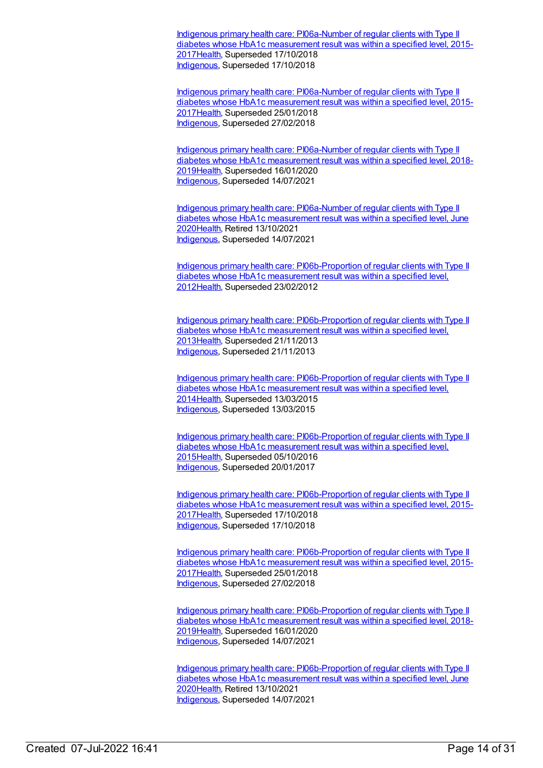Indigenous primary health care: [PI06a-Number](https://meteor.aihw.gov.au/content/686425) of regular clients with Type II diabetes whose HbA1c measurement result was within a specified level, 2015- 201[7Health](https://meteor.aihw.gov.au/RegistrationAuthority/12), Superseded 17/10/2018 [Indigenous](https://meteor.aihw.gov.au/RegistrationAuthority/6), Superseded 17/10/2018

Indigenous primary health care: [PI06a-Number](https://meteor.aihw.gov.au/content/663928) of regular clients with Type II diabetes whose HbA1c measurement result was within a specified level, 2015- 201[7Health](https://meteor.aihw.gov.au/RegistrationAuthority/12), Superseded 25/01/2018 [Indigenous](https://meteor.aihw.gov.au/RegistrationAuthority/6), Superseded 27/02/2018

Indigenous primary health care: [PI06a-Number](https://meteor.aihw.gov.au/content/687943) of regular clients with Type II diabetes whose HbA1c measurement result was within a specified level, 2018- 201[9Health](https://meteor.aihw.gov.au/RegistrationAuthority/12), Superseded 16/01/2020 [Indigenous](https://meteor.aihw.gov.au/RegistrationAuthority/6), Superseded 14/07/2021

Indigenous primary health care: [PI06a-Number](https://meteor.aihw.gov.au/content/717287) of regular clients with Type II diabetes whose HbA1c measurement result was within a specified level, June 202[0Health](https://meteor.aihw.gov.au/RegistrationAuthority/12), Retired 13/10/2021 [Indigenous](https://meteor.aihw.gov.au/RegistrationAuthority/6), Superseded 14/07/2021

Indigenous primary health care: [PI06b-Proportion](https://meteor.aihw.gov.au/content/441158) of regular clients with Type II diabetes whose HbA1c measurement result was within a specified level, 201[2Health](https://meteor.aihw.gov.au/RegistrationAuthority/12), Superseded 23/02/2012

Indigenous primary health care: [PI06b-Proportion](https://meteor.aihw.gov.au/content/468100) of regular clients with Type II diabetes whose HbA1c measurement result was within a specified level, 201[3Health](https://meteor.aihw.gov.au/RegistrationAuthority/12), Superseded 21/11/2013 [Indigenous](https://meteor.aihw.gov.au/RegistrationAuthority/6), Superseded 21/11/2013

Indigenous primary health care: [PI06b-Proportion](https://meteor.aihw.gov.au/content/504706) of regular clients with Type II diabetes whose HbA1c measurement result was within a specified level, 201[4Health](https://meteor.aihw.gov.au/RegistrationAuthority/12), Superseded 13/03/2015 [Indigenous](https://meteor.aihw.gov.au/RegistrationAuthority/6), Superseded 13/03/2015

Indigenous primary health care: [PI06b-Proportion](https://meteor.aihw.gov.au/content/589004) of regular clients with Type II diabetes whose HbA1c measurement result was within a specified level, 201[5Health](https://meteor.aihw.gov.au/RegistrationAuthority/12), Superseded 05/10/2016 [Indigenous](https://meteor.aihw.gov.au/RegistrationAuthority/6), Superseded 20/01/2017

Indigenous primary health care: [PI06b-Proportion](https://meteor.aihw.gov.au/content/686356) of regular clients with Type II diabetes whose HbA1c measurement result was within a specified level, 2015- 201[7Health](https://meteor.aihw.gov.au/RegistrationAuthority/12), Superseded 17/10/2018 [Indigenous](https://meteor.aihw.gov.au/RegistrationAuthority/6), Superseded 17/10/2018

Indigenous primary health care: [PI06b-Proportion](https://meteor.aihw.gov.au/content/663930) of regular clients with Type II diabetes whose HbA1c measurement result was within a specified level, 2015- 201[7Health](https://meteor.aihw.gov.au/RegistrationAuthority/12), Superseded 25/01/2018 [Indigenous](https://meteor.aihw.gov.au/RegistrationAuthority/6), Superseded 27/02/2018

Indigenous primary health care: [PI06b-Proportion](https://meteor.aihw.gov.au/content/687945) of regular clients with Type II diabetes whose HbA1c measurement result was within a specified level, 2018- 201[9Health](https://meteor.aihw.gov.au/RegistrationAuthority/12), Superseded 16/01/2020 [Indigenous](https://meteor.aihw.gov.au/RegistrationAuthority/6), Superseded 14/07/2021

Indigenous primary health care: [PI06b-Proportion](https://meteor.aihw.gov.au/content/717289) of regular clients with Type II diabetes whose HbA1c measurement result was within a specified level, June 202[0Health](https://meteor.aihw.gov.au/RegistrationAuthority/12), Retired 13/10/2021 [Indigenous](https://meteor.aihw.gov.au/RegistrationAuthority/6), Superseded 14/07/2021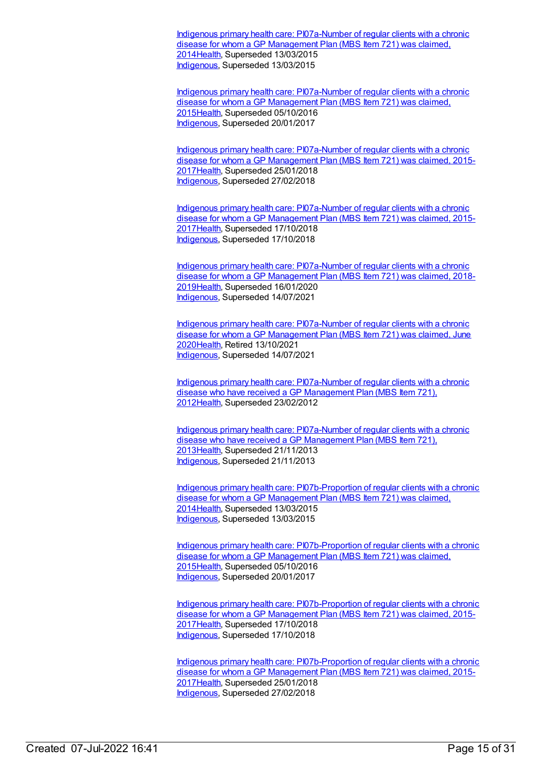Indigenous primary health care: [PI07a-Number](https://meteor.aihw.gov.au/content/504675) of regular clients with a chronic disease for whom a GP Management Plan (MBS Item 721) was claimed. 201[4Health](https://meteor.aihw.gov.au/RegistrationAuthority/12), Superseded 13/03/2015 [Indigenous](https://meteor.aihw.gov.au/RegistrationAuthority/6), Superseded 13/03/2015

Indigenous primary health care: [PI07a-Number](https://meteor.aihw.gov.au/content/589006) of regular clients with a chronic disease for whom a GP Management Plan (MBS Item 721) was claimed, 201[5Health](https://meteor.aihw.gov.au/RegistrationAuthority/12), Superseded 05/10/2016 [Indigenous](https://meteor.aihw.gov.au/RegistrationAuthority/6), Superseded 20/01/2017

Indigenous primary health care: [PI07a-Number](https://meteor.aihw.gov.au/content/663932) of regular clients with a chronic disease for whom a GP Management Plan (MBS Item 721) was claimed, 2015- 201[7Health](https://meteor.aihw.gov.au/RegistrationAuthority/12), Superseded 25/01/2018 [Indigenous](https://meteor.aihw.gov.au/RegistrationAuthority/6), Superseded 27/02/2018

Indigenous primary health care: [PI07a-Number](https://meteor.aihw.gov.au/content/686434) of regular clients with a chronic disease for whom a GP Management Plan (MBS Item 721) was claimed, 2015-201[7Health](https://meteor.aihw.gov.au/RegistrationAuthority/12), Superseded 17/10/2018 [Indigenous](https://meteor.aihw.gov.au/RegistrationAuthority/6), Superseded 17/10/2018

Indigenous primary health care: [PI07a-Number](https://meteor.aihw.gov.au/content/687948) of regular clients with a chronic disease for whom a GP Management Plan (MBS Item 721) was claimed, 2018- 201[9Health](https://meteor.aihw.gov.au/RegistrationAuthority/12), Superseded 16/01/2020 [Indigenous](https://meteor.aihw.gov.au/RegistrationAuthority/6), Superseded 14/07/2021

Indigenous primary health care: [PI07a-Number](https://meteor.aihw.gov.au/content/717292) of regular clients with a chronic disease for whom a GP Management Plan (MBS Item 721) was claimed, June 202[0Health](https://meteor.aihw.gov.au/RegistrationAuthority/12), Retired 13/10/2021 [Indigenous](https://meteor.aihw.gov.au/RegistrationAuthority/6), Superseded 14/07/2021

Indigenous primary health care: [PI07a-Number](https://meteor.aihw.gov.au/content/432543) of regular clients with a chronic disease who have received a GP Management Plan (MBS Item 721), 201[2Health](https://meteor.aihw.gov.au/RegistrationAuthority/12), Superseded 23/02/2012

Indigenous primary health care: [PI07a-Number](https://meteor.aihw.gov.au/content/468102) of regular clients with a chronic disease who have received a GP Management Plan (MBS Item 721), 201[3Health](https://meteor.aihw.gov.au/RegistrationAuthority/12), Superseded 21/11/2013 [Indigenous](https://meteor.aihw.gov.au/RegistrationAuthority/6), Superseded 21/11/2013

Indigenous primary health care: [PI07b-Proportion](https://meteor.aihw.gov.au/content/504677) of regular clients with a chronic disease for whom a GP Management Plan (MBS Item 721) was claimed, 201[4Health](https://meteor.aihw.gov.au/RegistrationAuthority/12), Superseded 13/03/2015 [Indigenous](https://meteor.aihw.gov.au/RegistrationAuthority/6), Superseded 13/03/2015

Indigenous primary health care: [PI07b-Proportion](https://meteor.aihw.gov.au/content/589008) of regular clients with a chronic disease for whom a GP Management Plan (MBS Item 721) was claimed, 201[5Health](https://meteor.aihw.gov.au/RegistrationAuthority/12), Superseded 05/10/2016 [Indigenous](https://meteor.aihw.gov.au/RegistrationAuthority/6), Superseded 20/01/2017

Indigenous primary health care: [PI07b-Proportion](https://meteor.aihw.gov.au/content/686438) of regular clients with a chronic disease for whom a GP Management Plan (MBS Item 721) was claimed, 2015- 201[7Health](https://meteor.aihw.gov.au/RegistrationAuthority/12), Superseded 17/10/2018 [Indigenous](https://meteor.aihw.gov.au/RegistrationAuthority/6), Superseded 17/10/2018

Indigenous primary health care: [PI07b-Proportion](https://meteor.aihw.gov.au/content/663937) of regular clients with a chronic disease for whom a GP Management Plan (MBS Item 721) was claimed, 2015- 201[7Health](https://meteor.aihw.gov.au/RegistrationAuthority/12), Superseded 25/01/2018 [Indigenous](https://meteor.aihw.gov.au/RegistrationAuthority/6), Superseded 27/02/2018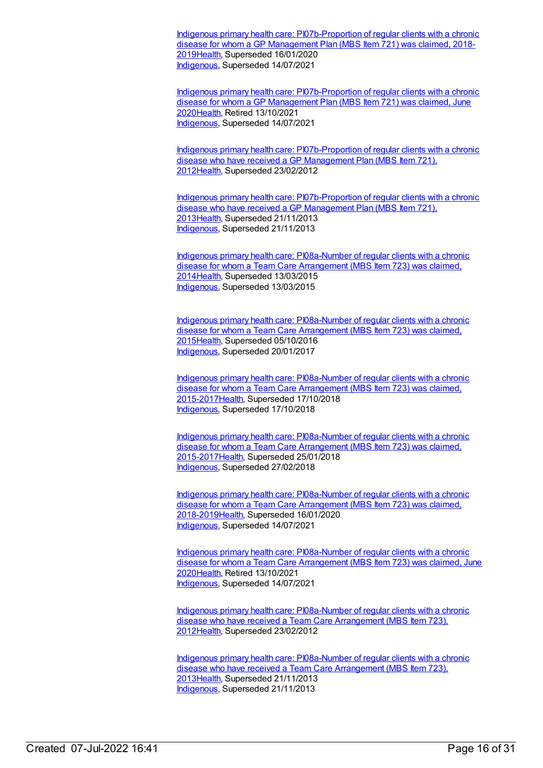Indigenous primary health care: [PI07b-Proportion](https://meteor.aihw.gov.au/content/687950) of regular clients with a chronic disease for whom a GP Management Plan (MBS Item 721) was claimed, 2018- 201[9Health](https://meteor.aihw.gov.au/RegistrationAuthority/12), Superseded 16/01/2020 [Indigenous](https://meteor.aihw.gov.au/RegistrationAuthority/6), Superseded 14/07/2021

Indigenous primary health care: [PI07b-Proportion](https://meteor.aihw.gov.au/content/717294) of regular clients with a chronic disease for whom a GP Management Plan (MBS Item 721) was claimed, June 202[0Health](https://meteor.aihw.gov.au/RegistrationAuthority/12), Retired 13/10/2021 [Indigenous](https://meteor.aihw.gov.au/RegistrationAuthority/6), Superseded 14/07/2021

Indigenous primary health care: [PI07b-Proportion](https://meteor.aihw.gov.au/content/432523) of regular clients with a chronic disease who have received a GP Management Plan (MBS Item 721), 201[2Health](https://meteor.aihw.gov.au/RegistrationAuthority/12), Superseded 23/02/2012

Indigenous primary health care: [PI07b-Proportion](https://meteor.aihw.gov.au/content/468104) of regular clients with a chronic disease who have received a GP Management Plan (MBS Item 721), 201[3Health](https://meteor.aihw.gov.au/RegistrationAuthority/12), Superseded 21/11/2013 [Indigenous](https://meteor.aihw.gov.au/RegistrationAuthority/6), Superseded 21/11/2013

Indigenous primary health care: [PI08a-Number](https://meteor.aihw.gov.au/content/504679) of regular clients with a chronic disease for whom a Team Care Arrangement (MBS Item 723) was claimed, 201[4Health](https://meteor.aihw.gov.au/RegistrationAuthority/12), Superseded 13/03/2015 [Indigenous](https://meteor.aihw.gov.au/RegistrationAuthority/6), Superseded 13/03/2015

Indigenous primary health care: [PI08a-Number](https://meteor.aihw.gov.au/content/589012) of regular clients with a chronic disease for whom a Team Care Arrangement (MBS Item 723) was claimed, 201[5Health](https://meteor.aihw.gov.au/RegistrationAuthority/12), Superseded 05/10/2016 [Indigenous](https://meteor.aihw.gov.au/RegistrationAuthority/6), Superseded 20/01/2017

Indigenous primary health care: PI08a-Number of regular clients with a chronic disease for whom a Team Care Arrangement (MBS Item 723) was claimed, [2015-2017Health,](https://meteor.aihw.gov.au/content/686442) Superseded 17/10/2018 [Indigenous](https://meteor.aihw.gov.au/RegistrationAuthority/6), Superseded 17/10/2018

Indigenous primary health care: PI08a-Number of regular clients with a chronic disease for whom a Team Care Arrangement (MBS Item 723) was claimed, [2015-2017Health,](https://meteor.aihw.gov.au/content/663939) Superseded 25/01/2018 [Indigenous](https://meteor.aihw.gov.au/RegistrationAuthority/6), Superseded 27/02/2018

Indigenous primary health care: [PI08a-Number](https://meteor.aihw.gov.au/content/687952) of regular clients with a chronic disease for whom a Team Care Arrangement (MBS Item 723) was claimed, 2018-201[9Health](https://meteor.aihw.gov.au/RegistrationAuthority/12), Superseded 16/01/2020 [Indigenous](https://meteor.aihw.gov.au/RegistrationAuthority/6), Superseded 14/07/2021

Indigenous primary health care: [PI08a-Number](https://meteor.aihw.gov.au/content/717296) of regular clients with a chronic disease for whom a Team Care Arrangement (MBS Item 723) was claimed, June 202[0Health](https://meteor.aihw.gov.au/RegistrationAuthority/12), Retired 13/10/2021 [Indigenous](https://meteor.aihw.gov.au/RegistrationAuthority/6), Superseded 14/07/2021

Indigenous primary health care: [PI08a-Number](https://meteor.aihw.gov.au/content/432545) of regular clients with a chronic disease who have received a Team Care Arrangement (MBS Item 723), 201[2Health](https://meteor.aihw.gov.au/RegistrationAuthority/12), Superseded 23/02/2012

Indigenous primary health care: [PI08a-Number](https://meteor.aihw.gov.au/content/468106) of regular clients with a chronic disease who have received a Team Care Arrangement (MBS Item 723), 201[3Health](https://meteor.aihw.gov.au/RegistrationAuthority/12), Superseded 21/11/2013 [Indigenous](https://meteor.aihw.gov.au/RegistrationAuthority/6), Superseded 21/11/2013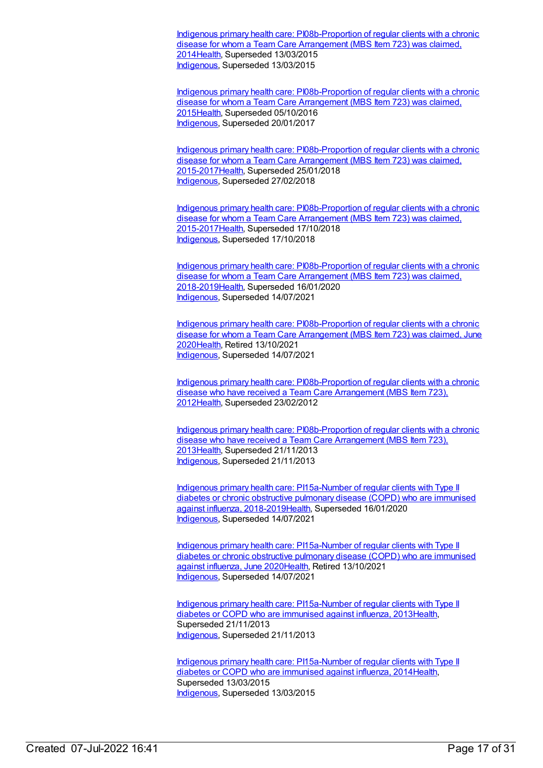Indigenous primary health care: [PI08b-Proportion](https://meteor.aihw.gov.au/content/504681) of regular clients with a chronic disease for whom a Team Care Arrangement (MBS Item 723) was claimed, 201[4Health](https://meteor.aihw.gov.au/RegistrationAuthority/12), Superseded 13/03/2015 [Indigenous](https://meteor.aihw.gov.au/RegistrationAuthority/6), Superseded 13/03/2015

Indigenous primary health care: [PI08b-Proportion](https://meteor.aihw.gov.au/content/589016) of regular clients with a chronic disease for whom a Team Care Arrangement (MBS Item 723) was claimed, 201[5Health](https://meteor.aihw.gov.au/RegistrationAuthority/12), Superseded 05/10/2016 [Indigenous](https://meteor.aihw.gov.au/RegistrationAuthority/6), Superseded 20/01/2017

Indigenous primary health care: [PI08b-Proportion](https://meteor.aihw.gov.au/content/663942) of regular clients with a chronic disease for whom a Team Care Arrangement (MBS Item 723) was claimed, 2015-201[7Health](https://meteor.aihw.gov.au/RegistrationAuthority/12), Superseded 25/01/2018 [Indigenous](https://meteor.aihw.gov.au/RegistrationAuthority/6), Superseded 27/02/2018

Indigenous primary health care: [PI08b-Proportion](https://meteor.aihw.gov.au/content/686445) of regular clients with a chronic disease for whom a Team Care Arrangement (MBS Item 723) was claimed, 2015-201[7Health](https://meteor.aihw.gov.au/RegistrationAuthority/12), Superseded 17/10/2018 [Indigenous](https://meteor.aihw.gov.au/RegistrationAuthority/6), Superseded 17/10/2018

Indigenous primary health care: [PI08b-Proportion](https://meteor.aihw.gov.au/content/687954) of regular clients with a chronic disease for whom a Team Care Arrangement (MBS Item 723) was claimed, 2018-201[9Health](https://meteor.aihw.gov.au/RegistrationAuthority/12), Superseded 16/01/2020 [Indigenous](https://meteor.aihw.gov.au/RegistrationAuthority/6), Superseded 14/07/2021

Indigenous primary health care: [PI08b-Proportion](https://meteor.aihw.gov.au/content/717298) of regular clients with a chronic disease for whom a Team Care Arrangement (MBS Item 723) was claimed, June 202[0Health](https://meteor.aihw.gov.au/RegistrationAuthority/12), Retired 13/10/2021 [Indigenous](https://meteor.aihw.gov.au/RegistrationAuthority/6), Superseded 14/07/2021

Indigenous primary health care: [PI08b-Proportion](https://meteor.aihw.gov.au/content/432533) of regular clients with a chronic disease who have received a Team Care Arrangement (MBS Item 723), 201[2Health](https://meteor.aihw.gov.au/RegistrationAuthority/12), Superseded 23/02/2012

Indigenous primary health care: [PI08b-Proportion](https://meteor.aihw.gov.au/content/468108) of regular clients with a chronic disease who have received a Team Care Arrangement (MBS Item 723), 201[3Health](https://meteor.aihw.gov.au/RegistrationAuthority/12), Superseded 21/11/2013 [Indigenous](https://meteor.aihw.gov.au/RegistrationAuthority/6), Superseded 21/11/2013

Indigenous primary health care: PI15a-Number of regular clients with Type II diabetes or chronic obstructive pulmonary disease (COPD) who are immunised against influenza, [2018-2019Health,](https://meteor.aihw.gov.au/content/687982) Superseded 16/01/2020 [Indigenous](https://meteor.aihw.gov.au/RegistrationAuthority/6), Superseded 14/07/2021

Indigenous primary health care: [PI15a-Number](https://meteor.aihw.gov.au/content/717324) of regular clients with Type II diabetes or chronic obstructive pulmonary disease (COPD) who are immunised against influenza, June 202[0Health](https://meteor.aihw.gov.au/RegistrationAuthority/12), Retired 13/10/2021 [Indigenous](https://meteor.aihw.gov.au/RegistrationAuthority/6), Superseded 14/07/2021

Indigenous primary health care: [PI15a-Number](https://meteor.aihw.gov.au/content/438117) of regular clients with Type II diabetes or COPD who are immunised against influenza, 201[3Health](https://meteor.aihw.gov.au/RegistrationAuthority/12), Superseded 21/11/2013 [Indigenous](https://meteor.aihw.gov.au/RegistrationAuthority/6), Superseded 21/11/2013

Indigenous primary health care: [PI15a-Number](https://meteor.aihw.gov.au/content/504739) of regular clients with Type II diabetes or COPD who are immunised against influenza, 201[4Health](https://meteor.aihw.gov.au/RegistrationAuthority/12), Superseded 13/03/2015 [Indigenous](https://meteor.aihw.gov.au/RegistrationAuthority/6), Superseded 13/03/2015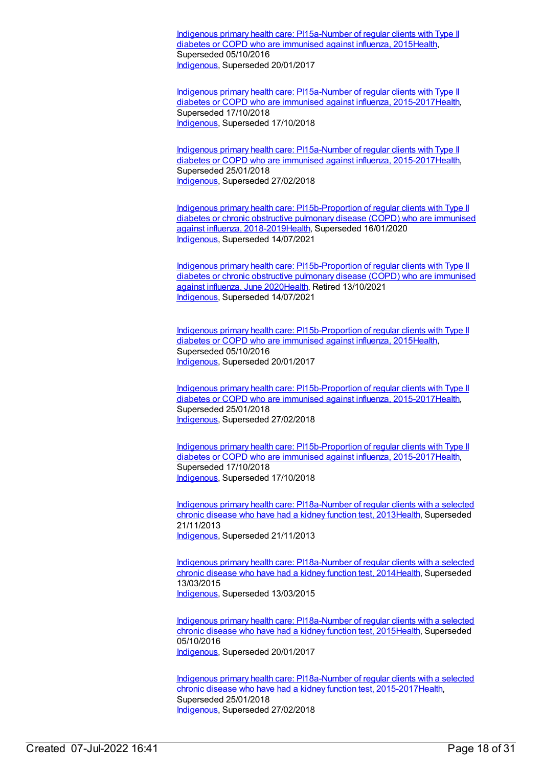Indigenous primary health care: [PI15a-Number](https://meteor.aihw.gov.au/content/589056) of regular clients with Type II diabetes or COPD who are immunised against influenza, 201[5Health](https://meteor.aihw.gov.au/RegistrationAuthority/12), Superseded 05/10/2016 [Indigenous](https://meteor.aihw.gov.au/RegistrationAuthority/6), Superseded 20/01/2017

Indigenous primary health care: [PI15a-Number](https://meteor.aihw.gov.au/content/686342) of regular clients with Type II diabetes or COPD who are immunised against influenza, 2015-2017[Health](https://meteor.aihw.gov.au/RegistrationAuthority/12), Superseded 17/10/2018 [Indigenous](https://meteor.aihw.gov.au/RegistrationAuthority/6), Superseded 17/10/2018

Indigenous primary health care: [PI15a-Number](https://meteor.aihw.gov.au/content/663959) of regular clients with Type II diabetes or COPD who are immunised against influenza, 2015-2017 [Health](https://meteor.aihw.gov.au/RegistrationAuthority/12), Superseded 25/01/2018 [Indigenous](https://meteor.aihw.gov.au/RegistrationAuthority/6), Superseded 27/02/2018

Indigenous primary health care: [PI15b-Proportion](https://meteor.aihw.gov.au/content/687984) of regular clients with Type II diabetes or chronic obstructive pulmonary disease (COPD) who are immunised against influenza, 2018-201[9Health](https://meteor.aihw.gov.au/RegistrationAuthority/12), Superseded 16/01/2020 [Indigenous](https://meteor.aihw.gov.au/RegistrationAuthority/6), Superseded 14/07/2021

Indigenous primary health care: [PI15b-Proportion](https://meteor.aihw.gov.au/content/717326) of regular clients with Type II diabetes or chronic obstructive pulmonary disease (COPD) who are immunised against influenza, June 202[0Health](https://meteor.aihw.gov.au/RegistrationAuthority/12), Retired 13/10/2021 [Indigenous](https://meteor.aihw.gov.au/RegistrationAuthority/6), Superseded 14/07/2021

Indigenous primary health care: [PI15b-Proportion](https://meteor.aihw.gov.au/content/589059) of regular clients with Type II diabetes or COPD who are immunised against influenza, 201[5Health](https://meteor.aihw.gov.au/RegistrationAuthority/12), Superseded 05/10/2016 [Indigenous](https://meteor.aihw.gov.au/RegistrationAuthority/6), Superseded 20/01/2017

Indigenous primary health care: [PI15b-Proportion](https://meteor.aihw.gov.au/content/663961) of regular clients with Type II diabetes or COPD who are immunised against influenza, 2015-2017[Health](https://meteor.aihw.gov.au/RegistrationAuthority/12), Superseded 25/01/2018 [Indigenous](https://meteor.aihw.gov.au/RegistrationAuthority/6), Superseded 27/02/2018

Indigenous primary health care: [PI15b-Proportion](https://meteor.aihw.gov.au/content/686388) of regular clients with Type II diabetes or COPD who are immunised against influenza, 2015-2017[Health](https://meteor.aihw.gov.au/RegistrationAuthority/12), Superseded 17/10/2018 [Indigenous](https://meteor.aihw.gov.au/RegistrationAuthority/6), Superseded 17/10/2018

Indigenous primary health care: [PI18a-Number](https://meteor.aihw.gov.au/content/438141) of regular clients with a selected chronic disease who have had a kidney function test, 201[3Health](https://meteor.aihw.gov.au/RegistrationAuthority/12), Superseded 21/11/2013 [Indigenous](https://meteor.aihw.gov.au/RegistrationAuthority/6), Superseded 21/11/2013

Indigenous primary health care: [PI18a-Number](https://meteor.aihw.gov.au/content/504785) of regular clients with a selected chronic disease who have had a kidney function test, 201[4Health](https://meteor.aihw.gov.au/RegistrationAuthority/12), Superseded 13/03/2015 [Indigenous](https://meteor.aihw.gov.au/RegistrationAuthority/6), Superseded 13/03/2015

Indigenous primary health care: [PI18a-Number](https://meteor.aihw.gov.au/content/589067) of regular clients with a selected chronic disease who have had a kidney function test, 201[5Health](https://meteor.aihw.gov.au/RegistrationAuthority/12), Superseded 05/10/2016 [Indigenous](https://meteor.aihw.gov.au/RegistrationAuthority/6), Superseded 20/01/2017

Indigenous primary health care: PI18a-Number of regular clients with a selected chronic disease who have had a kidney function test, [2015-2017Health,](https://meteor.aihw.gov.au/content/663967) Superseded 25/01/2018 [Indigenous](https://meteor.aihw.gov.au/RegistrationAuthority/6), Superseded 27/02/2018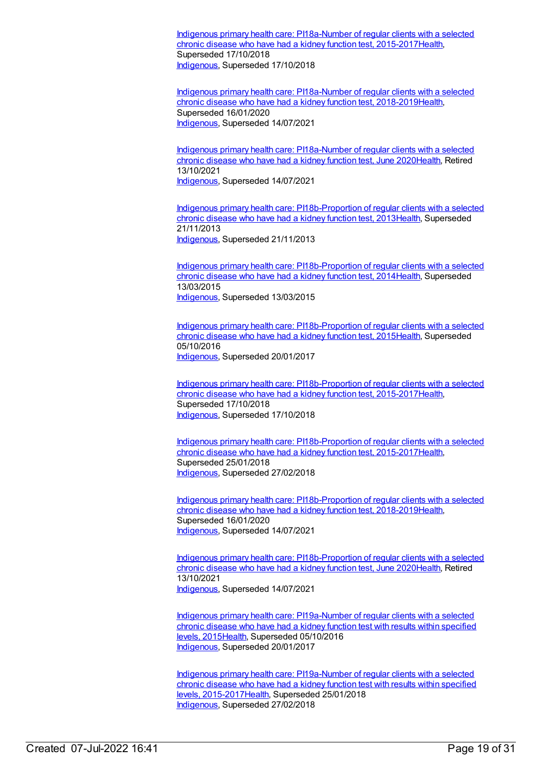Indigenous primary health care: PI18a-Number of regular clients with a selected chronic disease who have had a kidney function test, [2015-2017Health,](https://meteor.aihw.gov.au/content/686362) Superseded 17/10/2018 [Indigenous](https://meteor.aihw.gov.au/RegistrationAuthority/6), Superseded 17/10/2018

Indigenous primary health care: PI18a-Number of regular clients with a selected chronic disease who have had a kidney function test, [2018-2019](https://meteor.aihw.gov.au/content/687996)[Healt](https://meteor.aihw.gov.au/RegistrationAuthority/12)[h,](https://meteor.aihw.gov.au/content/687996) Superseded 16/01/2020 [Indigenous](https://meteor.aihw.gov.au/RegistrationAuthority/6), Superseded 14/07/2021

Indigenous primary health care: [PI18a-Number](https://meteor.aihw.gov.au/content/717338) of regular clients with a selected chronic disease who have had a kidney function test, June 2020[Health](https://meteor.aihw.gov.au/RegistrationAuthority/12), Retired 13/10/2021 [Indigenous](https://meteor.aihw.gov.au/RegistrationAuthority/6), Superseded 14/07/2021

Indigenous primary health care: [PI18b-Proportion](https://meteor.aihw.gov.au/content/438145) of regular clients with a selected chronic disease who have had a kidney function test, 201[3Health](https://meteor.aihw.gov.au/RegistrationAuthority/12), Superseded 21/11/2013 [Indigenous](https://meteor.aihw.gov.au/RegistrationAuthority/6), Superseded 21/11/2013

Indigenous primary health care: [PI18b-Proportion](https://meteor.aihw.gov.au/content/504788) of regular clients with a selected chronic disease who have had a kidney function test, 201[4Health](https://meteor.aihw.gov.au/RegistrationAuthority/12), Superseded 13/03/2015 [Indigenous](https://meteor.aihw.gov.au/RegistrationAuthority/6), Superseded 13/03/2015

Indigenous primary health care: [PI18b-Proportion](https://meteor.aihw.gov.au/content/589069) of regular clients with a selected chronic disease who have had a kidney function test, 201[5Health](https://meteor.aihw.gov.au/RegistrationAuthority/12), Superseded 05/10/2016 [Indigenous](https://meteor.aihw.gov.au/RegistrationAuthority/6), Superseded 20/01/2017

Indigenous primary health care: [PI18b-Proportion](https://meteor.aihw.gov.au/content/686364) of regular clients with a selected chronic disease who have had a kidney function test, 2015-201[7Health](https://meteor.aihw.gov.au/RegistrationAuthority/12), Superseded 17/10/2018 [Indigenous](https://meteor.aihw.gov.au/RegistrationAuthority/6), Superseded 17/10/2018

Indigenous primary health care: [PI18b-Proportion](https://meteor.aihw.gov.au/content/663969) of regular clients with a selected chronic disease who have had a kidney function test, 2015-201[7Health](https://meteor.aihw.gov.au/RegistrationAuthority/12), Superseded 25/01/2018 [Indigenous](https://meteor.aihw.gov.au/RegistrationAuthority/6), Superseded 27/02/2018

Indigenous primary health care: [PI18b-Proportion](https://meteor.aihw.gov.au/content/687998) of regular clients with a selected chronic disease who have had a kidney function test, 2018-201[9Health](https://meteor.aihw.gov.au/RegistrationAuthority/12), Superseded 16/01/2020 [Indigenous](https://meteor.aihw.gov.au/RegistrationAuthority/6), Superseded 14/07/2021

Indigenous primary health care: [PI18b-Proportion](https://meteor.aihw.gov.au/content/717340) of regular clients with a selected chronic disease who have had a kidney function test, June 2020[Health](https://meteor.aihw.gov.au/RegistrationAuthority/12), Retired 13/10/2021 [Indigenous](https://meteor.aihw.gov.au/RegistrationAuthority/6), Superseded 14/07/2021

Indigenous primary health care: [PI19a-Number](https://meteor.aihw.gov.au/content/594135) of regular clients with a selected chronic disease who have had a kidney function test with results within specified levels, 2015[Health](https://meteor.aihw.gov.au/RegistrationAuthority/12), Superseded 05/10/2016 [Indigenous](https://meteor.aihw.gov.au/RegistrationAuthority/6), Superseded 20/01/2017

Indigenous primary health care: PI19a-Number of regular clients with a selected chronic disease who have had a kidney function test with results within specified levels, [2015-2017Health,](https://meteor.aihw.gov.au/content/663973) Superseded 25/01/2018 [Indigenous](https://meteor.aihw.gov.au/RegistrationAuthority/6), Superseded 27/02/2018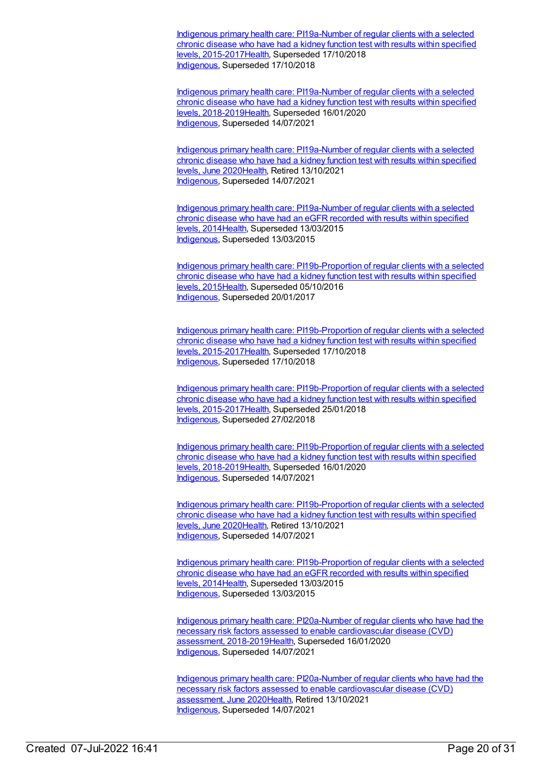Indigenous primary health care: PI19a-Number of regular clients with a selected chronic disease who have had a kidney function test with results within specified levels, [2015-2017Health,](https://meteor.aihw.gov.au/content/686366) Superseded 17/10/2018 [Indigenous](https://meteor.aihw.gov.au/RegistrationAuthority/6), Superseded 17/10/2018

Indigenous primary health care: PI19a-Number of regular clients with a selected chronic disease who have had a kidney function test with results within specified levels, [2018-2019Health,](https://meteor.aihw.gov.au/content/688000) Superseded 16/01/2020 [Indigenous](https://meteor.aihw.gov.au/RegistrationAuthority/6), Superseded 14/07/2021

Indigenous primary health care: [PI19a-Number](https://meteor.aihw.gov.au/content/717342) of regular clients with a selected chronic disease who have had a kidney function test with results within specified levels, June 202[0Health](https://meteor.aihw.gov.au/RegistrationAuthority/12), Retired 13/10/2021 [Indigenous](https://meteor.aihw.gov.au/RegistrationAuthority/6), Superseded 14/07/2021

Indigenous primary health care: [PI19a-Number](https://meteor.aihw.gov.au/content/481523) of regular clients with a selected chronic disease who have had an eGFR recorded with results within specified levels, 2014[Health](https://meteor.aihw.gov.au/RegistrationAuthority/12), Superseded 13/03/2015 [Indigenous](https://meteor.aihw.gov.au/RegistrationAuthority/6), Superseded 13/03/2015

Indigenous primary health care: [PI19b-Proportion](https://meteor.aihw.gov.au/content/594108) of regular clients with a selected chronic disease who have had a kidney function test with results within specified levels, 2015[Health](https://meteor.aihw.gov.au/RegistrationAuthority/12), Superseded 05/10/2016 [Indigenous](https://meteor.aihw.gov.au/RegistrationAuthority/6), Superseded 20/01/2017

Indigenous primary health care: [PI19b-Proportion](https://meteor.aihw.gov.au/content/686368) of regular clients with a selected chronic disease who have had a kidney function test with results within specified levels, 2015-201[7Health,](https://meteor.aihw.gov.au/RegistrationAuthority/12) Superseded 17/10/2018 [Indigenous](https://meteor.aihw.gov.au/RegistrationAuthority/6), Superseded 17/10/2018

Indigenous primary health care: [PI19b-Proportion](https://meteor.aihw.gov.au/content/663976) of regular clients with a selected chronic disease who have had a kidney function test with results within specified levels, 2015-201[7Health,](https://meteor.aihw.gov.au/RegistrationAuthority/12) Superseded 25/01/2018 [Indigenous](https://meteor.aihw.gov.au/RegistrationAuthority/6), Superseded 27/02/2018

Indigenous primary health care: [PI19b-Proportion](https://meteor.aihw.gov.au/content/688002) of regular clients with a selected chronic disease who have had a kidney function test with results within specified levels, 2018-201[9Health,](https://meteor.aihw.gov.au/RegistrationAuthority/12) Superseded 16/01/2020 [Indigenous](https://meteor.aihw.gov.au/RegistrationAuthority/6), Superseded 14/07/2021

Indigenous primary health care: [PI19b-Proportion](https://meteor.aihw.gov.au/content/717344) of regular clients with a selected chronic disease who have had a kidney function test with results within specified levels, June 202[0Health](https://meteor.aihw.gov.au/RegistrationAuthority/12), Retired 13/10/2021 [Indigenous](https://meteor.aihw.gov.au/RegistrationAuthority/6), Superseded 14/07/2021

Indigenous primary health care: [PI19b-Proportion](https://meteor.aihw.gov.au/content/481525) of regular clients with a selected chronic disease who have had an eGFR recorded with results within specified levels, 2014[Health](https://meteor.aihw.gov.au/RegistrationAuthority/12), Superseded 13/03/2015 [Indigenous](https://meteor.aihw.gov.au/RegistrationAuthority/6), Superseded 13/03/2015

Indigenous primary health care: [PI20a-Number](https://meteor.aihw.gov.au/content/688004) of regular clients who have had the necessary risk factors assessed to enable cardiovascular disease (CVD) assessment, 2018-2019[Health,](https://meteor.aihw.gov.au/RegistrationAuthority/12) Superseded 16/01/2020 [Indigenous](https://meteor.aihw.gov.au/RegistrationAuthority/6), Superseded 14/07/2021

Indigenous primary health care: [PI20a-Number](https://meteor.aihw.gov.au/content/717348) of regular clients who have had the necessary risk factors assessed to enable cardiovascular disease (CVD) assessment, June 202[0Health](https://meteor.aihw.gov.au/RegistrationAuthority/12), Retired 13/10/2021 [Indigenous](https://meteor.aihw.gov.au/RegistrationAuthority/6), Superseded 14/07/2021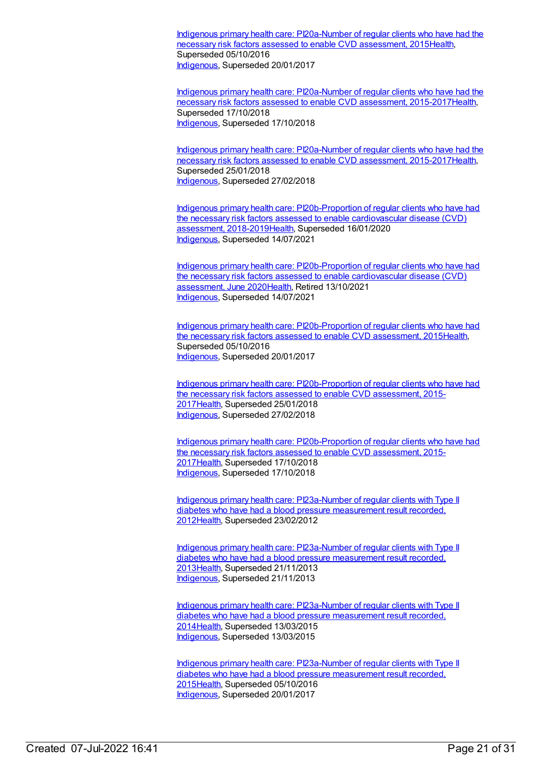Indigenous primary health care: [PI20a-Number](https://meteor.aihw.gov.au/content/591955) of regular clients who have had the necessary risk factors assessed to enable CVD assessment, 201[5Health](https://meteor.aihw.gov.au/RegistrationAuthority/12), Superseded 05/10/2016 [Indigenous](https://meteor.aihw.gov.au/RegistrationAuthority/6), Superseded 20/01/2017

Indigenous primary health care: PI20a-Number of regular clients who have had the necessary risk factors assessed to enable CVD assessment, [2015-2017](https://meteor.aihw.gov.au/content/686370)[Healt](https://meteor.aihw.gov.au/RegistrationAuthority/12)[h,](https://meteor.aihw.gov.au/content/686370) Superseded 17/10/2018 [Indigenous](https://meteor.aihw.gov.au/RegistrationAuthority/6), Superseded 17/10/2018

Indigenous primary health care: PI20a-Number of regular clients who have had the necessary risk factors assessed to enable CVD assessment, [2015-2017Health,](https://meteor.aihw.gov.au/content/663882) Superseded 25/01/2018 [Indigenous](https://meteor.aihw.gov.au/RegistrationAuthority/6), Superseded 27/02/2018

Indigenous primary health care: [PI20b-Proportion](https://meteor.aihw.gov.au/content/688007) of regular clients who have had the necessary risk factors assessed to enable cardiovascular disease (CVD) assessment, 2018-2019[Health,](https://meteor.aihw.gov.au/RegistrationAuthority/12) Superseded 16/01/2020 [Indigenous](https://meteor.aihw.gov.au/RegistrationAuthority/6), Superseded 14/07/2021

Indigenous primary health care: [PI20b-Proportion](https://meteor.aihw.gov.au/content/717350) of regular clients who have had the necessary risk factors assessed to enable cardiovascular disease (CVD) assessment, June 202[0Health](https://meteor.aihw.gov.au/RegistrationAuthority/12), Retired 13/10/2021 [Indigenous](https://meteor.aihw.gov.au/RegistrationAuthority/6), Superseded 14/07/2021

Indigenous primary health care: [PI20b-Proportion](https://meteor.aihw.gov.au/content/588801) of regular clients who have had the necessary risk factors assessed to enable CVD assessment, 201[5Health](https://meteor.aihw.gov.au/RegistrationAuthority/12), Superseded 05/10/2016 [Indigenous](https://meteor.aihw.gov.au/RegistrationAuthority/6), Superseded 20/01/2017

Indigenous primary health care: [PI20b-Proportion](https://meteor.aihw.gov.au/content/663884) of regular clients who have had the necessary risk factors assessed to enable CVD assessment, 2015- 201[7Health](https://meteor.aihw.gov.au/RegistrationAuthority/12), Superseded 25/01/2018 [Indigenous](https://meteor.aihw.gov.au/RegistrationAuthority/6), Superseded 27/02/2018

Indigenous primary health care: [PI20b-Proportion](https://meteor.aihw.gov.au/content/686372) of regular clients who have had the necessary risk factors assessed to enable CVD assessment, 2015- 201[7Health](https://meteor.aihw.gov.au/RegistrationAuthority/12), Superseded 17/10/2018 [Indigenous](https://meteor.aihw.gov.au/RegistrationAuthority/6), Superseded 17/10/2018

Indigenous primary health care: [PI23a-Number](https://meteor.aihw.gov.au/content/441412) of regular clients with Type II diabetes who have had a blood pressure measurement result recorded, 201[2Health](https://meteor.aihw.gov.au/RegistrationAuthority/12), Superseded 23/02/2012

Indigenous primary health care: [PI23a-Number](https://meteor.aihw.gov.au/content/468125) of regular clients with Type II diabetes who have had a blood pressure measurement result recorded, 201[3Health](https://meteor.aihw.gov.au/RegistrationAuthority/12), Superseded 21/11/2013 [Indigenous](https://meteor.aihw.gov.au/RegistrationAuthority/6), Superseded 21/11/2013

Indigenous primary health care: [PI23a-Number](https://meteor.aihw.gov.au/content/504795) of regular clients with Type II diabetes who have had a blood pressure measurement result recorded, 201[4Health](https://meteor.aihw.gov.au/RegistrationAuthority/12), Superseded 13/03/2015 [Indigenous](https://meteor.aihw.gov.au/RegistrationAuthority/6), Superseded 13/03/2015

Indigenous primary health care: [PI23a-Number](https://meteor.aihw.gov.au/content/589079) of regular clients with Type II diabetes who have had a blood pressure measurement result recorded, 201[5Health](https://meteor.aihw.gov.au/RegistrationAuthority/12), Superseded 05/10/2016 [Indigenous](https://meteor.aihw.gov.au/RegistrationAuthority/6), Superseded 20/01/2017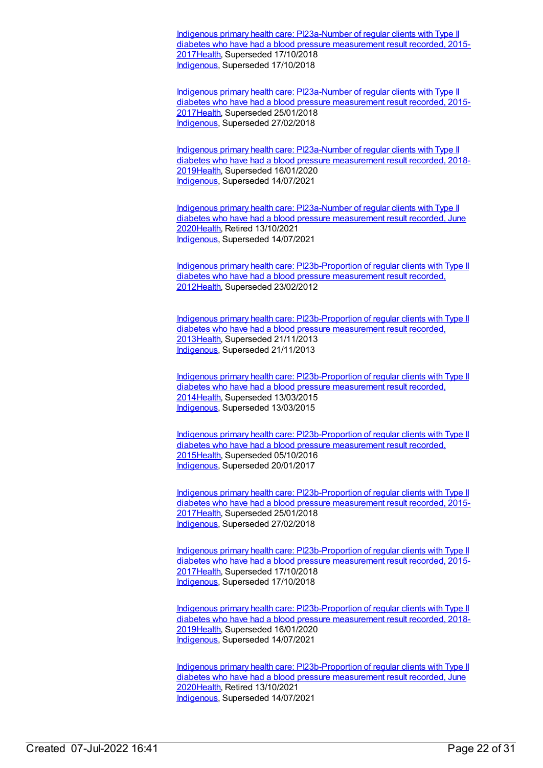Indigenous primary health care: [PI23a-Number](https://meteor.aihw.gov.au/content/686379) of regular clients with Type II diabetes who have had a blood pressure measurement result recorded, 2015- 201[7Health](https://meteor.aihw.gov.au/RegistrationAuthority/12), Superseded 17/10/2018 [Indigenous](https://meteor.aihw.gov.au/RegistrationAuthority/6), Superseded 17/10/2018

Indigenous primary health care: [PI23a-Number](https://meteor.aihw.gov.au/content/663986) of regular clients with Type II diabetes who have had a blood pressure measurement result recorded, 2015- 201[7Health](https://meteor.aihw.gov.au/RegistrationAuthority/12), Superseded 25/01/2018 [Indigenous](https://meteor.aihw.gov.au/RegistrationAuthority/6), Superseded 27/02/2018

Indigenous primary health care: [PI23a-Number](https://meteor.aihw.gov.au/content/688018) of regular clients with Type II diabetes who have had a blood pressure measurement result recorded, 2018- 201[9Health](https://meteor.aihw.gov.au/RegistrationAuthority/12), Superseded 16/01/2020 [Indigenous](https://meteor.aihw.gov.au/RegistrationAuthority/6), Superseded 14/07/2021

Indigenous primary health care: [PI23a-Number](https://meteor.aihw.gov.au/content/717360) of regular clients with Type II diabetes who have had a blood pressure measurement result recorded, June 202[0Health](https://meteor.aihw.gov.au/RegistrationAuthority/12), Retired 13/10/2021 [Indigenous](https://meteor.aihw.gov.au/RegistrationAuthority/6), Superseded 14/07/2021

Indigenous primary health care: [PI23b-Proportion](https://meteor.aihw.gov.au/content/441417) of regular clients with Type II diabetes who have had a blood pressure measurement result recorded, 201[2Health](https://meteor.aihw.gov.au/RegistrationAuthority/12), Superseded 23/02/2012

Indigenous primary health care: [PI23b-Proportion](https://meteor.aihw.gov.au/content/468128) of regular clients with Type II diabetes who have had a blood pressure measurement result recorded, 201[3Health](https://meteor.aihw.gov.au/RegistrationAuthority/12), Superseded 21/11/2013 [Indigenous](https://meteor.aihw.gov.au/RegistrationAuthority/6), Superseded 21/11/2013

Indigenous primary health care: [PI23b-Proportion](https://meteor.aihw.gov.au/content/504798) of regular clients with Type II diabetes who have had a blood pressure measurement result recorded, 201[4Health](https://meteor.aihw.gov.au/RegistrationAuthority/12), Superseded 13/03/2015 [Indigenous](https://meteor.aihw.gov.au/RegistrationAuthority/6), Superseded 13/03/2015

Indigenous primary health care: [PI23b-Proportion](https://meteor.aihw.gov.au/content/589081) of regular clients with Type II diabetes who have had a blood pressure measurement result recorded, 201[5Health](https://meteor.aihw.gov.au/RegistrationAuthority/12), Superseded 05/10/2016 [Indigenous](https://meteor.aihw.gov.au/RegistrationAuthority/6), Superseded 20/01/2017

Indigenous primary health care: [PI23b-Proportion](https://meteor.aihw.gov.au/content/663988) of regular clients with Type II diabetes who have had a blood pressure measurement result recorded, 2015- 201[7Health](https://meteor.aihw.gov.au/RegistrationAuthority/12), Superseded 25/01/2018 [Indigenous](https://meteor.aihw.gov.au/RegistrationAuthority/6), Superseded 27/02/2018

Indigenous primary health care: [PI23b-Proportion](https://meteor.aihw.gov.au/content/686381) of regular clients with Type II diabetes who have had a blood pressure measurement result recorded, 2015- 201[7Health](https://meteor.aihw.gov.au/RegistrationAuthority/12), Superseded 17/10/2018 [Indigenous](https://meteor.aihw.gov.au/RegistrationAuthority/6), Superseded 17/10/2018

Indigenous primary health care: [PI23b-Proportion](https://meteor.aihw.gov.au/content/688020) of regular clients with Type II diabetes who have had a blood pressure measurement result recorded, 2018- 201[9Health](https://meteor.aihw.gov.au/RegistrationAuthority/12), Superseded 16/01/2020 [Indigenous](https://meteor.aihw.gov.au/RegistrationAuthority/6), Superseded 14/07/2021

Indigenous primary health care: [PI23b-Proportion](https://meteor.aihw.gov.au/content/717362) of regular clients with Type II diabetes who have had a blood pressure measurement result recorded, June 202[0Health](https://meteor.aihw.gov.au/RegistrationAuthority/12), Retired 13/10/2021 [Indigenous](https://meteor.aihw.gov.au/RegistrationAuthority/6), Superseded 14/07/2021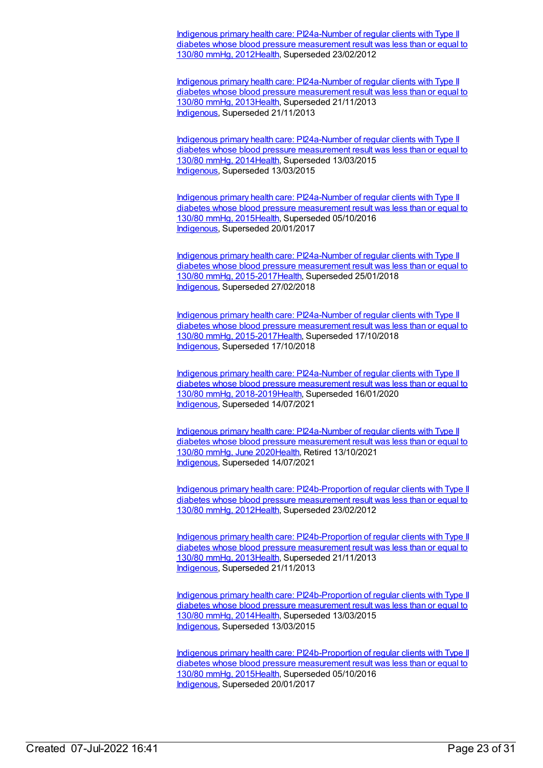Indigenous primary health care: [PI24a-Number](https://meteor.aihw.gov.au/content/441445) of regular clients with Type II diabetes whose blood pressure measurement result was less than or equal to 130/80 mmHg, 2012[Health](https://meteor.aihw.gov.au/RegistrationAuthority/12), Superseded 23/02/2012

Indigenous primary health care: [PI24a-Number](https://meteor.aihw.gov.au/content/468130) of regular clients with Type II diabetes whose blood pressure measurement result was less than or equal to 130/80 mmHg, 2013[Health](https://meteor.aihw.gov.au/RegistrationAuthority/12), Superseded 21/11/2013 [Indigenous](https://meteor.aihw.gov.au/RegistrationAuthority/6), Superseded 21/11/2013

Indigenous primary health care: [PI24a-Number](https://meteor.aihw.gov.au/content/504801) of regular clients with Type II diabetes whose blood pressure measurement result was less than or equal to 130/80 mmHg, 2014[Health](https://meteor.aihw.gov.au/RegistrationAuthority/12), Superseded 13/03/2015 [Indigenous](https://meteor.aihw.gov.au/RegistrationAuthority/6), Superseded 13/03/2015

Indigenous primary health care: [PI24a-Number](https://meteor.aihw.gov.au/content/589083) of regular clients with Type II diabetes whose blood pressure measurement result was less than or equal to 130/80 mmHg, 2015[Health](https://meteor.aihw.gov.au/RegistrationAuthority/12), Superseded 05/10/2016 [Indigenous](https://meteor.aihw.gov.au/RegistrationAuthority/6), Superseded 20/01/2017

Indigenous primary health care: PI24a-Number of regular clients with Type II diabetes whose blood pressure measurement result was less than or equal to 130/80 mmHg, [2015-2017Health,](https://meteor.aihw.gov.au/content/663990) Superseded 25/01/2018 [Indigenous](https://meteor.aihw.gov.au/RegistrationAuthority/6), Superseded 27/02/2018

Indigenous primary health care: PI24a-Number of regular clients with Type II diabetes whose blood pressure measurement result was less than or equal to 130/80 mmHg, [2015-2017Health,](https://meteor.aihw.gov.au/content/686383) Superseded 17/10/2018 [Indigenous](https://meteor.aihw.gov.au/RegistrationAuthority/6), Superseded 17/10/2018

Indigenous primary health care: PI24a-Number of regular clients with Type II diabetes whose blood pressure measurement result was less than or equal to 130/80 mmHg, [2018-2019Health,](https://meteor.aihw.gov.au/content/688022) Superseded 16/01/2020 [Indigenous](https://meteor.aihw.gov.au/RegistrationAuthority/6), Superseded 14/07/2021

Indigenous primary health care: [PI24a-Number](https://meteor.aihw.gov.au/content/717366) of regular clients with Type II diabetes whose blood pressure measurement result was less than or equal to 130/80 mmHg, June 202[0Health](https://meteor.aihw.gov.au/RegistrationAuthority/12), Retired 13/10/2021 [Indigenous](https://meteor.aihw.gov.au/RegistrationAuthority/6), Superseded 14/07/2021

Indigenous primary health care: [PI24b-Proportion](https://meteor.aihw.gov.au/content/441449) of regular clients with Type II diabetes whose blood pressure measurement result was less than or equal to 130/80 mmHg, 2012[Health](https://meteor.aihw.gov.au/RegistrationAuthority/12), Superseded 23/02/2012

Indigenous primary health care: [PI24b-Proportion](https://meteor.aihw.gov.au/content/468134) of regular clients with Type II diabetes whose blood pressure measurement result was less than or equal to 130/80 mmHg, 2013[Health](https://meteor.aihw.gov.au/RegistrationAuthority/12), Superseded 21/11/2013 [Indigenous](https://meteor.aihw.gov.au/RegistrationAuthority/6), Superseded 21/11/2013

Indigenous primary health care: [PI24b-Proportion](https://meteor.aihw.gov.au/content/504803) of regular clients with Type II diabetes whose blood pressure measurement result was less than or equal to 130/80 mmHg, 2014[Health](https://meteor.aihw.gov.au/RegistrationAuthority/12), Superseded 13/03/2015 [Indigenous](https://meteor.aihw.gov.au/RegistrationAuthority/6), Superseded 13/03/2015

Indigenous primary health care: [PI24b-Proportion](https://meteor.aihw.gov.au/content/589085) of regular clients with Type II diabetes whose blood pressure measurement result was less than or equal to 130/80 mmHg, 2015[Health](https://meteor.aihw.gov.au/RegistrationAuthority/12), Superseded 05/10/2016 [Indigenous](https://meteor.aihw.gov.au/RegistrationAuthority/6), Superseded 20/01/2017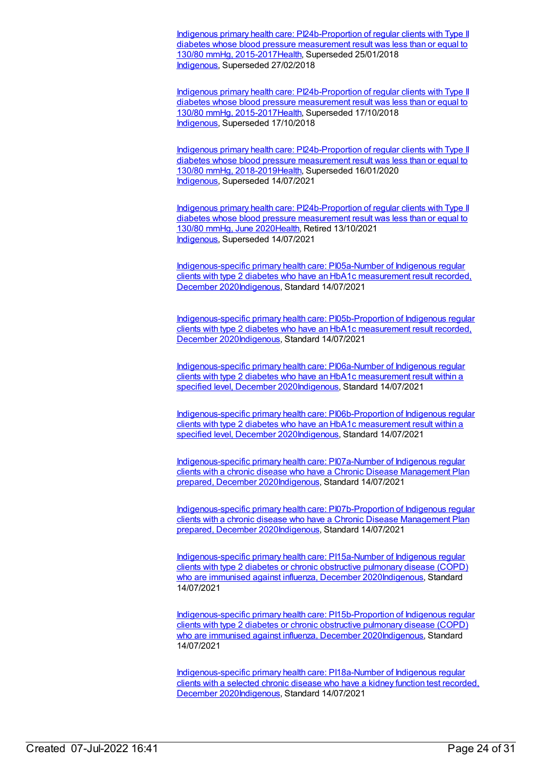Indigenous primary health care: [PI24b-Proportion](https://meteor.aihw.gov.au/content/663992) of regular clients with Type II diabetes whose blood pressure measurement result was less than or equal to 130/80 mmHg, 2015-201[7Health,](https://meteor.aihw.gov.au/RegistrationAuthority/12) Superseded 25/01/2018 [Indigenous](https://meteor.aihw.gov.au/RegistrationAuthority/6), Superseded 27/02/2018

Indigenous primary health care: [PI24b-Proportion](https://meteor.aihw.gov.au/content/686385) of regular clients with Type II diabetes whose blood pressure measurement result was less than or equal to 130/80 mmHg, 2015-201[7Health,](https://meteor.aihw.gov.au/RegistrationAuthority/12) Superseded 17/10/2018 [Indigenous](https://meteor.aihw.gov.au/RegistrationAuthority/6), Superseded 17/10/2018

Indigenous primary health care: [PI24b-Proportion](https://meteor.aihw.gov.au/content/688024) of regular clients with Type II diabetes whose blood pressure measurement result was less than or equal to 130/80 mmHg, 2018-201[9Health,](https://meteor.aihw.gov.au/RegistrationAuthority/12) Superseded 16/01/2020 [Indigenous](https://meteor.aihw.gov.au/RegistrationAuthority/6), Superseded 14/07/2021

Indigenous primary health care: [PI24b-Proportion](https://meteor.aihw.gov.au/content/717368) of regular clients with Type II diabetes whose blood pressure measurement result was less than or equal to 130/80 mmHg, June 202[0Health](https://meteor.aihw.gov.au/RegistrationAuthority/12), Retired 13/10/2021 [Indigenous](https://meteor.aihw.gov.au/RegistrationAuthority/6), Superseded 14/07/2021

[Indigenous-specific](https://meteor.aihw.gov.au/content/739345) primary health care: PI05a-Number of Indigenous regular clients with type 2 diabetes who have an HbA1c measurement result recorded, December 202[0Indigenous,](https://meteor.aihw.gov.au/RegistrationAuthority/6) Standard 14/07/2021

[Indigenous-specific](https://meteor.aihw.gov.au/content/739347) primary health care: PI05b-Proportion of Indigenous regular clients with type 2 diabetes who have an HbA1c measurement result recorded, December 202[0Indigenous,](https://meteor.aihw.gov.au/RegistrationAuthority/6) Standard 14/07/2021

[Indigenous-specific](https://meteor.aihw.gov.au/content/739351) primary health care: PI06a-Number of Indigenous regular clients with type 2 diabetes who have an HbA1c measurement result within a specified level, December 2020 Indigenous, Standard 14/07/2021

[Indigenous-specific](https://meteor.aihw.gov.au/content/739353) primary health care: PI06b-Proportion of Indigenous regular clients with type 2 diabetes who have an HbA1c measurement result within a specified level, December 202[0Indigenous](https://meteor.aihw.gov.au/RegistrationAuthority/6), Standard 14/07/2021

[Indigenous-specific](https://meteor.aihw.gov.au/content/731823) primary health care: PI07a-Number of Indigenous regular clients with a chronic disease who have a Chronic Disease Management Plan prepared, December 202[0Indigenous](https://meteor.aihw.gov.au/RegistrationAuthority/6), Standard 14/07/2021

[Indigenous-specific](https://meteor.aihw.gov.au/content/731846) primary health care: PI07b-Proportion of Indigenous regular clients with a chronic disease who have a Chronic Disease Management Plan prepared, December 202[0Indigenous](https://meteor.aihw.gov.au/RegistrationAuthority/6), Standard 14/07/2021

[Indigenous-specific](https://meteor.aihw.gov.au/content/739397) primary health care: PI15a-Number of Indigenous regular clients with type 2 diabetes or chronic obstructive pulmonary disease (COPD) who are immunised against influenza, December 202[0Indigenous](https://meteor.aihw.gov.au/RegistrationAuthority/6), Standard 14/07/2021

[Indigenous-specific](https://meteor.aihw.gov.au/content/739399) primary health care: PI15b-Proportion of Indigenous regular clients with type 2 diabetes or chronic obstructive pulmonary disease (COPD) who are immunised against influenza, December 202[0Indigenous](https://meteor.aihw.gov.au/RegistrationAuthority/6), Standard 14/07/2021

[Indigenous-specific](https://meteor.aihw.gov.au/content/739436) primary health care: PI18a-Number of Indigenous regular clients with a selected chronic disease who have a kidney function test recorded, December 202[0Indigenous,](https://meteor.aihw.gov.au/RegistrationAuthority/6) Standard 14/07/2021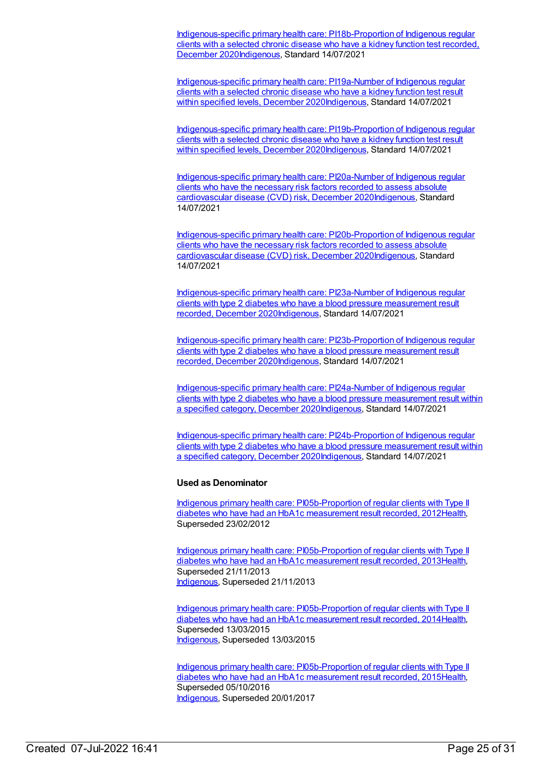[Indigenous-specific](https://meteor.aihw.gov.au/content/739438) primary health care: PI18b-Proportion of Indigenous regular clients with a selected chronic disease who have a kidney function test recorded, December 202[0Indigenous,](https://meteor.aihw.gov.au/RegistrationAuthority/6) Standard 14/07/2021

[Indigenous-specific](https://meteor.aihw.gov.au/content/739450) primary health care: PI19a-Number of Indigenous regular clients with a selected chronic disease who have a kidney function test result within specified levels, December 202[0Indigenous](https://meteor.aihw.gov.au/RegistrationAuthority/6), Standard 14/07/2021

[Indigenous-specific](https://meteor.aihw.gov.au/content/739454) primary health care: PI19b-Proportion of Indigenous regular clients with a selected chronic disease who have a kidney function test result within specified levels, December 202[0Indigenous](https://meteor.aihw.gov.au/RegistrationAuthority/6), Standard 14/07/2021

[Indigenous-specific](https://meteor.aihw.gov.au/content/739463) primary health care: PI20a-Number of Indigenous regular clients who have the necessary risk factors recorded to assess absolute cardiovascular disease (CVD) risk, December 202[0Indigenous](https://meteor.aihw.gov.au/RegistrationAuthority/6), Standard 14/07/2021

[Indigenous-specific](https://meteor.aihw.gov.au/content/739465) primary health care: PI20b-Proportion of Indigenous regular clients who have the necessary risk factors recorded to assess absolute cardiovascular disease (CVD) risk, December 202[0Indigenous](https://meteor.aihw.gov.au/RegistrationAuthority/6), Standard 14/07/2021

[Indigenous-specific](https://meteor.aihw.gov.au/content/739474) primary health care: PI23a-Number of Indigenous regular clients with type 2 diabetes who have a blood pressure measurement result recorded, December 202[0Indigenous](https://meteor.aihw.gov.au/RegistrationAuthority/6), Standard 14/07/2021

[Indigenous-specific](https://meteor.aihw.gov.au/content/739478) primary health care: PI23b-Proportion of Indigenous regular clients with type 2 diabetes who have a blood pressure measurement result recorded, December 202[0Indigenous](https://meteor.aihw.gov.au/RegistrationAuthority/6), Standard 14/07/2021

[Indigenous-specific](https://meteor.aihw.gov.au/content/739481) primary health care: PI24a-Number of Indigenous regular clients with type 2 diabetes who have a blood pressure measurement result within a specified category, December 2020[Indigenous](https://meteor.aihw.gov.au/RegistrationAuthority/6), Standard 14/07/2021

[Indigenous-specific](https://meteor.aihw.gov.au/content/739483) primary health care: PI24b-Proportion of Indigenous regular clients with type 2 diabetes who have a blood pressure measurement result within a specified category, December 2020[Indigenous](https://meteor.aihw.gov.au/RegistrationAuthority/6), Standard 14/07/2021

#### **Used as Denominator**

Indigenous primary health care: [PI05b-Proportion](https://meteor.aihw.gov.au/content/432280) of regular clients with Type II diabetes who have had an HbA1c measurement result recorded, 201[2Health](https://meteor.aihw.gov.au/RegistrationAuthority/12), Superseded 23/02/2012

Indigenous primary health care: [PI05b-Proportion](https://meteor.aihw.gov.au/content/468096) of regular clients with Type II diabetes who have had an HbA1c measurement result recorded, 201[3Health](https://meteor.aihw.gov.au/RegistrationAuthority/12), Superseded 21/11/2013 [Indigenous](https://meteor.aihw.gov.au/RegistrationAuthority/6), Superseded 21/11/2013

Indigenous primary health care: [PI05b-Proportion](https://meteor.aihw.gov.au/content/504702) of regular clients with Type II diabetes who have had an HbA1c measurement result recorded, 201[4Health](https://meteor.aihw.gov.au/RegistrationAuthority/12), Superseded 13/03/2015 [Indigenous](https://meteor.aihw.gov.au/RegistrationAuthority/6), Superseded 13/03/2015

Indigenous primary health care: [PI05b-Proportion](https://meteor.aihw.gov.au/content/588995) of regular clients with Type II diabetes who have had an HbA1c measurement result recorded, 201[5Health](https://meteor.aihw.gov.au/RegistrationAuthority/12), Superseded 05/10/2016 [Indigenous](https://meteor.aihw.gov.au/RegistrationAuthority/6), Superseded 20/01/2017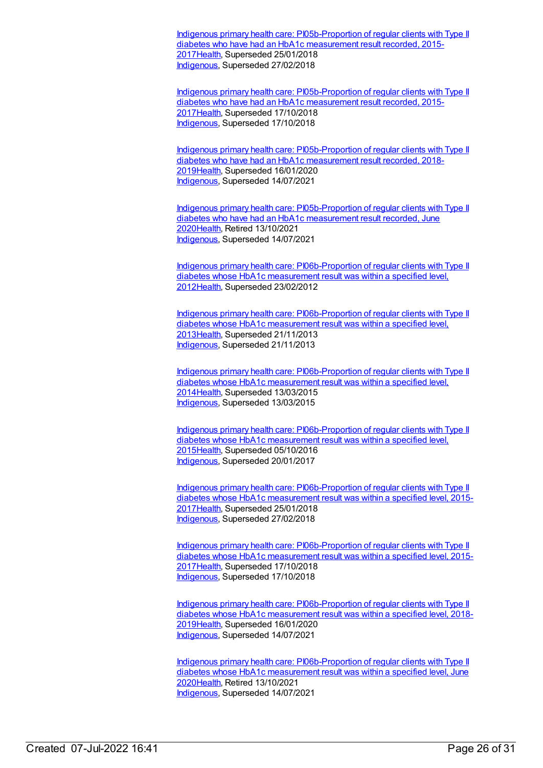Indigenous primary health care: [PI05b-Proportion](https://meteor.aihw.gov.au/content/663926) of regular clients with Type II diabetes who have had an HbA1c measurement result recorded, 2015- 201[7Health](https://meteor.aihw.gov.au/RegistrationAuthority/12), Superseded 25/01/2018 [Indigenous](https://meteor.aihw.gov.au/RegistrationAuthority/6), Superseded 27/02/2018

Indigenous primary health care: [PI05b-Proportion](https://meteor.aihw.gov.au/content/686352) of regular clients with Type II diabetes who have had an HbA1c measurement result recorded, 2015- 201[7Health](https://meteor.aihw.gov.au/RegistrationAuthority/12), Superseded 17/10/2018 [Indigenous](https://meteor.aihw.gov.au/RegistrationAuthority/6), Superseded 17/10/2018

Indigenous primary health care: [PI05b-Proportion](https://meteor.aihw.gov.au/content/687941) of regular clients with Type II diabetes who have had an HbA1c measurement result recorded, 2018- 201[9Health](https://meteor.aihw.gov.au/RegistrationAuthority/12), Superseded 16/01/2020 [Indigenous](https://meteor.aihw.gov.au/RegistrationAuthority/6), Superseded 14/07/2021

Indigenous primary health care: [PI05b-Proportion](https://meteor.aihw.gov.au/content/717285) of regular clients with Type II diabetes who have had an HbA1c measurement result recorded, June 202[0Health](https://meteor.aihw.gov.au/RegistrationAuthority/12), Retired 13/10/2021 [Indigenous](https://meteor.aihw.gov.au/RegistrationAuthority/6), Superseded 14/07/2021

Indigenous primary health care: [PI06b-Proportion](https://meteor.aihw.gov.au/content/441158) of regular clients with Type II diabetes whose HbA1c measurement result was within a specified level, 201[2Health](https://meteor.aihw.gov.au/RegistrationAuthority/12), Superseded 23/02/2012

Indigenous primary health care: [PI06b-Proportion](https://meteor.aihw.gov.au/content/468100) of regular clients with Type II diabetes whose HbA1c measurement result was within a specified level, 201[3Health](https://meteor.aihw.gov.au/RegistrationAuthority/12), Superseded 21/11/2013 [Indigenous](https://meteor.aihw.gov.au/RegistrationAuthority/6), Superseded 21/11/2013

Indigenous primary health care: [PI06b-Proportion](https://meteor.aihw.gov.au/content/504706) of regular clients with Type II diabetes whose HbA1c measurement result was within a specified level, 201[4Health](https://meteor.aihw.gov.au/RegistrationAuthority/12), Superseded 13/03/2015 [Indigenous](https://meteor.aihw.gov.au/RegistrationAuthority/6), Superseded 13/03/2015

Indigenous primary health care: [PI06b-Proportion](https://meteor.aihw.gov.au/content/589004) of regular clients with Type II diabetes whose HbA1c measurement result was within a specified level, 201[5Health](https://meteor.aihw.gov.au/RegistrationAuthority/12), Superseded 05/10/2016 [Indigenous](https://meteor.aihw.gov.au/RegistrationAuthority/6), Superseded 20/01/2017

Indigenous primary health care: [PI06b-Proportion](https://meteor.aihw.gov.au/content/663930) of regular clients with Type II diabetes whose HbA1c measurement result was within a specified level, 2015- 201[7Health](https://meteor.aihw.gov.au/RegistrationAuthority/12), Superseded 25/01/2018 [Indigenous](https://meteor.aihw.gov.au/RegistrationAuthority/6), Superseded 27/02/2018

Indigenous primary health care: [PI06b-Proportion](https://meteor.aihw.gov.au/content/686356) of regular clients with Type II diabetes whose HbA1c measurement result was within a specified level, 2015- 201[7Health](https://meteor.aihw.gov.au/RegistrationAuthority/12), Superseded 17/10/2018 [Indigenous](https://meteor.aihw.gov.au/RegistrationAuthority/6), Superseded 17/10/2018

Indigenous primary health care: [PI06b-Proportion](https://meteor.aihw.gov.au/content/687945) of regular clients with Type II diabetes whose HbA1c measurement result was within a specified level, 2018- 201[9Health](https://meteor.aihw.gov.au/RegistrationAuthority/12), Superseded 16/01/2020 [Indigenous](https://meteor.aihw.gov.au/RegistrationAuthority/6), Superseded 14/07/2021

Indigenous primary health care: [PI06b-Proportion](https://meteor.aihw.gov.au/content/717289) of regular clients with Type II diabetes whose HbA1c measurement result was within a specified level, June 202[0Health](https://meteor.aihw.gov.au/RegistrationAuthority/12), Retired 13/10/2021 [Indigenous](https://meteor.aihw.gov.au/RegistrationAuthority/6), Superseded 14/07/2021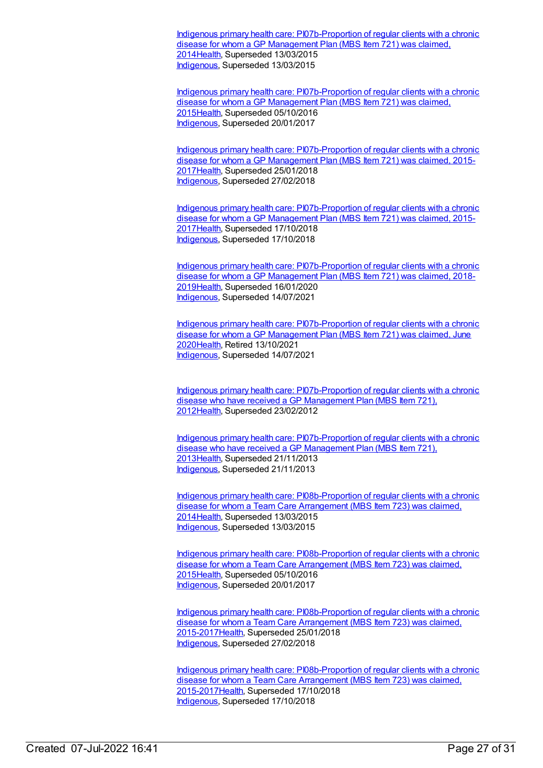Indigenous primary health care: [PI07b-Proportion](https://meteor.aihw.gov.au/content/504677) of regular clients with a chronic disease for whom a GP Management Plan (MBS Item 721) was claimed. 201[4Health](https://meteor.aihw.gov.au/RegistrationAuthority/12), Superseded 13/03/2015 [Indigenous](https://meteor.aihw.gov.au/RegistrationAuthority/6), Superseded 13/03/2015

Indigenous primary health care: [PI07b-Proportion](https://meteor.aihw.gov.au/content/589008) of regular clients with a chronic disease for whom a GP Management Plan (MBS Item 721) was claimed, 201[5Health](https://meteor.aihw.gov.au/RegistrationAuthority/12), Superseded 05/10/2016 [Indigenous](https://meteor.aihw.gov.au/RegistrationAuthority/6), Superseded 20/01/2017

Indigenous primary health care: [PI07b-Proportion](https://meteor.aihw.gov.au/content/663937) of regular clients with a chronic disease for whom a GP Management Plan (MBS Item 721) was claimed, 2015- 201[7Health](https://meteor.aihw.gov.au/RegistrationAuthority/12), Superseded 25/01/2018 [Indigenous](https://meteor.aihw.gov.au/RegistrationAuthority/6), Superseded 27/02/2018

Indigenous primary health care: [PI07b-Proportion](https://meteor.aihw.gov.au/content/686438) of regular clients with a chronic disease for whom a GP Management Plan (MBS Item 721) was claimed, 2015-201[7Health](https://meteor.aihw.gov.au/RegistrationAuthority/12), Superseded 17/10/2018 [Indigenous](https://meteor.aihw.gov.au/RegistrationAuthority/6), Superseded 17/10/2018

Indigenous primary health care: [PI07b-Proportion](https://meteor.aihw.gov.au/content/687950) of regular clients with a chronic disease for whom a GP Management Plan (MBS Item 721) was claimed, 2018- 201[9Health](https://meteor.aihw.gov.au/RegistrationAuthority/12), Superseded 16/01/2020 [Indigenous](https://meteor.aihw.gov.au/RegistrationAuthority/6), Superseded 14/07/2021

Indigenous primary health care: [PI07b-Proportion](https://meteor.aihw.gov.au/content/717294) of regular clients with a chronic disease for whom a GP Management Plan (MBS Item 721) was claimed, June 202[0Health](https://meteor.aihw.gov.au/RegistrationAuthority/12), Retired 13/10/2021 [Indigenous](https://meteor.aihw.gov.au/RegistrationAuthority/6), Superseded 14/07/2021

Indigenous primary health care: [PI07b-Proportion](https://meteor.aihw.gov.au/content/432523) of regular clients with a chronic disease who have received a GP Management Plan (MBS Item 721), 201[2Health](https://meteor.aihw.gov.au/RegistrationAuthority/12), Superseded 23/02/2012

Indigenous primary health care: [PI07b-Proportion](https://meteor.aihw.gov.au/content/468104) of regular clients with a chronic disease who have received a GP Management Plan (MBS Item 721), 201[3Health](https://meteor.aihw.gov.au/RegistrationAuthority/12), Superseded 21/11/2013 [Indigenous](https://meteor.aihw.gov.au/RegistrationAuthority/6), Superseded 21/11/2013

Indigenous primary health care: [PI08b-Proportion](https://meteor.aihw.gov.au/content/504681) of regular clients with a chronic disease for whom a Team Care Arrangement (MBS Item 723) was claimed, 201[4Health](https://meteor.aihw.gov.au/RegistrationAuthority/12), Superseded 13/03/2015 [Indigenous](https://meteor.aihw.gov.au/RegistrationAuthority/6), Superseded 13/03/2015

Indigenous primary health care: [PI08b-Proportion](https://meteor.aihw.gov.au/content/589016) of regular clients with a chronic disease for whom a Team Care Arrangement (MBS Item 723) was claimed, 201[5Health](https://meteor.aihw.gov.au/RegistrationAuthority/12), Superseded 05/10/2016 [Indigenous](https://meteor.aihw.gov.au/RegistrationAuthority/6), Superseded 20/01/2017

Indigenous primary health care: [PI08b-Proportion](https://meteor.aihw.gov.au/content/663942) of regular clients with a chronic disease for whom a Team Care Arrangement (MBS Item 723) was claimed, 2015-201[7Health](https://meteor.aihw.gov.au/RegistrationAuthority/12), Superseded 25/01/2018 [Indigenous](https://meteor.aihw.gov.au/RegistrationAuthority/6), Superseded 27/02/2018

Indigenous primary health care: [PI08b-Proportion](https://meteor.aihw.gov.au/content/686445) of regular clients with a chronic disease for whom a Team Care Arrangement (MBS Item 723) was claimed, 2015-201[7Health](https://meteor.aihw.gov.au/RegistrationAuthority/12), Superseded 17/10/2018 [Indigenous](https://meteor.aihw.gov.au/RegistrationAuthority/6), Superseded 17/10/2018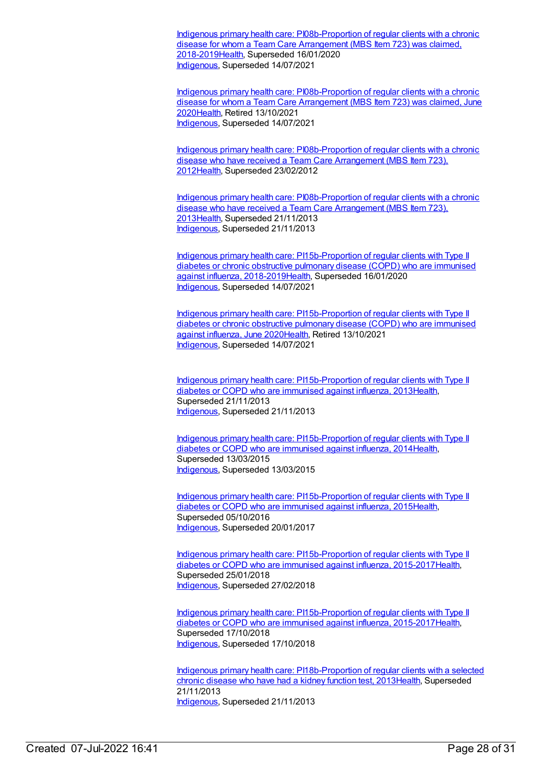Indigenous primary health care: [PI08b-Proportion](https://meteor.aihw.gov.au/content/687954) of regular clients with a chronic disease for whom a Team Care Arrangement (MBS Item 723) was claimed, 2018-201[9Health](https://meteor.aihw.gov.au/RegistrationAuthority/12), Superseded 16/01/2020 [Indigenous](https://meteor.aihw.gov.au/RegistrationAuthority/6), Superseded 14/07/2021

Indigenous primary health care: [PI08b-Proportion](https://meteor.aihw.gov.au/content/717298) of regular clients with a chronic disease for whom a Team Care Arrangement (MBS Item 723) was claimed, June 202[0Health](https://meteor.aihw.gov.au/RegistrationAuthority/12), Retired 13/10/2021 [Indigenous](https://meteor.aihw.gov.au/RegistrationAuthority/6), Superseded 14/07/2021

Indigenous primary health care: [PI08b-Proportion](https://meteor.aihw.gov.au/content/432533) of regular clients with a chronic disease who have received a Team Care Arrangement (MBS Item 723), 201[2Health](https://meteor.aihw.gov.au/RegistrationAuthority/12), Superseded 23/02/2012

Indigenous primary health care: [PI08b-Proportion](https://meteor.aihw.gov.au/content/468108) of regular clients with a chronic disease who have received a Team Care Arrangement (MBS Item 723), 201[3Health](https://meteor.aihw.gov.au/RegistrationAuthority/12), Superseded 21/11/2013 [Indigenous](https://meteor.aihw.gov.au/RegistrationAuthority/6), Superseded 21/11/2013

Indigenous primary health care: [PI15b-Proportion](https://meteor.aihw.gov.au/content/687984) of regular clients with Type II diabetes or chronic obstructive pulmonary disease (COPD) who are immunised against influenza, 2018-201[9Health](https://meteor.aihw.gov.au/RegistrationAuthority/12), Superseded 16/01/2020 [Indigenous](https://meteor.aihw.gov.au/RegistrationAuthority/6), Superseded 14/07/2021

Indigenous primary health care: [PI15b-Proportion](https://meteor.aihw.gov.au/content/717326) of regular clients with Type II diabetes or chronic obstructive pulmonary disease (COPD) who are immunised against influenza, June 202[0Health](https://meteor.aihw.gov.au/RegistrationAuthority/12), Retired 13/10/2021 [Indigenous](https://meteor.aihw.gov.au/RegistrationAuthority/6), Superseded 14/07/2021

Indigenous primary health care: [PI15b-Proportion](https://meteor.aihw.gov.au/content/438127) of regular clients with Type II diabetes or COPD who are immunised against influenza, 201[3Health](https://meteor.aihw.gov.au/RegistrationAuthority/12), Superseded 21/11/2013 [Indigenous](https://meteor.aihw.gov.au/RegistrationAuthority/6), Superseded 21/11/2013

Indigenous primary health care: [PI15b-Proportion](https://meteor.aihw.gov.au/content/504741) of regular clients with Type II diabetes or COPD who are immunised against influenza, 201[4Health](https://meteor.aihw.gov.au/RegistrationAuthority/12), Superseded 13/03/2015 [Indigenous](https://meteor.aihw.gov.au/RegistrationAuthority/6), Superseded 13/03/2015

Indigenous primary health care: [PI15b-Proportion](https://meteor.aihw.gov.au/content/589059) of regular clients with Type II diabetes or COPD who are immunised against influenza, 201[5Health](https://meteor.aihw.gov.au/RegistrationAuthority/12), Superseded 05/10/2016 [Indigenous](https://meteor.aihw.gov.au/RegistrationAuthority/6), Superseded 20/01/2017

Indigenous primary health care: [PI15b-Proportion](https://meteor.aihw.gov.au/content/663961) of regular clients with Type II diabetes or COPD who are immunised against influenza, 2015-2017[Health](https://meteor.aihw.gov.au/RegistrationAuthority/12), Superseded 25/01/2018 [Indigenous](https://meteor.aihw.gov.au/RegistrationAuthority/6), Superseded 27/02/2018

Indigenous primary health care: [PI15b-Proportion](https://meteor.aihw.gov.au/content/686388) of regular clients with Type II diabetes or COPD who are immunised against influenza, 2015-2017[Health](https://meteor.aihw.gov.au/RegistrationAuthority/12), Superseded 17/10/2018 [Indigenous](https://meteor.aihw.gov.au/RegistrationAuthority/6), Superseded 17/10/2018

Indigenous primary health care: [PI18b-Proportion](https://meteor.aihw.gov.au/content/438145) of regular clients with a selected chronic disease who have had a kidney function test, 201[3Health](https://meteor.aihw.gov.au/RegistrationAuthority/12), Superseded 21/11/2013 [Indigenous](https://meteor.aihw.gov.au/RegistrationAuthority/6), Superseded 21/11/2013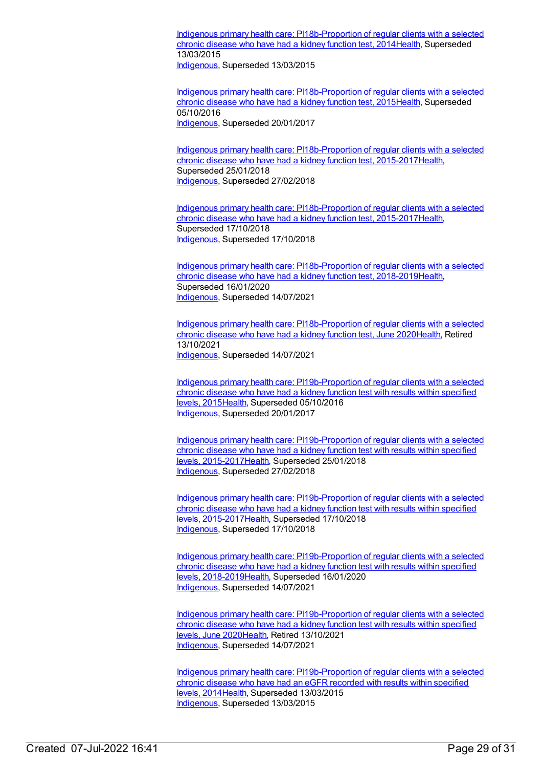Indigenous primary health care: [PI18b-Proportion](https://meteor.aihw.gov.au/content/504788) of regular clients with a selected chronic disease who have had a kidney function test, 201[4Health](https://meteor.aihw.gov.au/RegistrationAuthority/12), Superseded 13/03/2015

[Indigenous](https://meteor.aihw.gov.au/RegistrationAuthority/6), Superseded 13/03/2015

Indigenous primary health care: [PI18b-Proportion](https://meteor.aihw.gov.au/content/589069) of regular clients with a selected chronic disease who have had a kidney function test, 201[5Health](https://meteor.aihw.gov.au/RegistrationAuthority/12), Superseded 05/10/2016 [Indigenous](https://meteor.aihw.gov.au/RegistrationAuthority/6), Superseded 20/01/2017

Indigenous primary health care: [PI18b-Proportion](https://meteor.aihw.gov.au/content/663969) of regular clients with a selected chronic disease who have had a kidney function test, 2015-201[7Health](https://meteor.aihw.gov.au/RegistrationAuthority/12), Superseded 25/01/2018 [Indigenous](https://meteor.aihw.gov.au/RegistrationAuthority/6), Superseded 27/02/2018

Indigenous primary health care: [PI18b-Proportion](https://meteor.aihw.gov.au/content/686364) of regular clients with a selected chronic disease who have had a kidney function test, 2015-201[7Health](https://meteor.aihw.gov.au/RegistrationAuthority/12), Superseded 17/10/2018 [Indigenous](https://meteor.aihw.gov.au/RegistrationAuthority/6), Superseded 17/10/2018

Indigenous primary health care: [PI18b-Proportion](https://meteor.aihw.gov.au/content/687998) of regular clients with a selected chronic disease who have had a kidney function test, 2018-201[9Health](https://meteor.aihw.gov.au/RegistrationAuthority/12), Superseded 16/01/2020 [Indigenous](https://meteor.aihw.gov.au/RegistrationAuthority/6), Superseded 14/07/2021

Indigenous primary health care: [PI18b-Proportion](https://meteor.aihw.gov.au/content/717340) of regular clients with a selected chronic disease who have had a kidney function test, June 2020[Health](https://meteor.aihw.gov.au/RegistrationAuthority/12), Retired 13/10/2021 [Indigenous](https://meteor.aihw.gov.au/RegistrationAuthority/6), Superseded 14/07/2021

Indigenous primary health care: [PI19b-Proportion](https://meteor.aihw.gov.au/content/594108) of regular clients with a selected chronic disease who have had a kidney function test with results within specified levels, 2015[Health](https://meteor.aihw.gov.au/RegistrationAuthority/12), Superseded 05/10/2016 [Indigenous](https://meteor.aihw.gov.au/RegistrationAuthority/6), Superseded 20/01/2017

Indigenous primary health care: [PI19b-Proportion](https://meteor.aihw.gov.au/content/663976) of regular clients with a selected chronic disease who have had a kidney function test with results within specified levels, 2015-201[7Health,](https://meteor.aihw.gov.au/RegistrationAuthority/12) Superseded 25/01/2018 [Indigenous](https://meteor.aihw.gov.au/RegistrationAuthority/6), Superseded 27/02/2018

Indigenous primary health care: [PI19b-Proportion](https://meteor.aihw.gov.au/content/686368) of regular clients with a selected chronic disease who have had a kidney function test with results within specified levels, 2015-201[7Health,](https://meteor.aihw.gov.au/RegistrationAuthority/12) Superseded 17/10/2018 [Indigenous](https://meteor.aihw.gov.au/RegistrationAuthority/6), Superseded 17/10/2018

Indigenous primary health care: [PI19b-Proportion](https://meteor.aihw.gov.au/content/688002) of regular clients with a selected chronic disease who have had a kidney function test with results within specified levels, 2018-201[9Health,](https://meteor.aihw.gov.au/RegistrationAuthority/12) Superseded 16/01/2020 [Indigenous](https://meteor.aihw.gov.au/RegistrationAuthority/6), Superseded 14/07/2021

Indigenous primary health care: [PI19b-Proportion](https://meteor.aihw.gov.au/content/717344) of regular clients with a selected chronic disease who have had a kidney function test with results within specified levels, June 202[0Health](https://meteor.aihw.gov.au/RegistrationAuthority/12), Retired 13/10/2021 [Indigenous](https://meteor.aihw.gov.au/RegistrationAuthority/6), Superseded 14/07/2021

Indigenous primary health care: [PI19b-Proportion](https://meteor.aihw.gov.au/content/481525) of regular clients with a selected chronic disease who have had an eGFR recorded with results within specified levels, 2014[Health](https://meteor.aihw.gov.au/RegistrationAuthority/12), Superseded 13/03/2015 [Indigenous](https://meteor.aihw.gov.au/RegistrationAuthority/6), Superseded 13/03/2015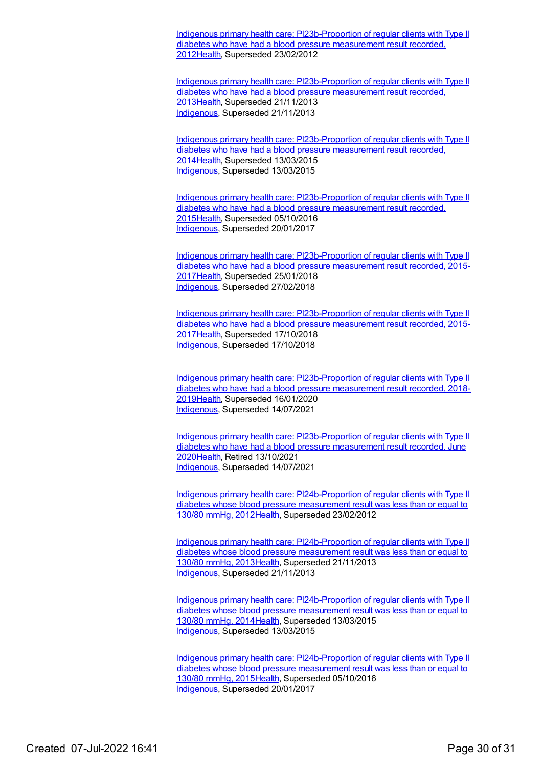Indigenous primary health care: [PI23b-Proportion](https://meteor.aihw.gov.au/content/441417) of regular clients with Type II diabetes who have had a blood pressure measurement result recorded, 201[2Health](https://meteor.aihw.gov.au/RegistrationAuthority/12), Superseded 23/02/2012

Indigenous primary health care: [PI23b-Proportion](https://meteor.aihw.gov.au/content/468128) of regular clients with Type II diabetes who have had a blood pressure measurement result recorded, 201[3Health](https://meteor.aihw.gov.au/RegistrationAuthority/12), Superseded 21/11/2013 [Indigenous](https://meteor.aihw.gov.au/RegistrationAuthority/6), Superseded 21/11/2013

Indigenous primary health care: [PI23b-Proportion](https://meteor.aihw.gov.au/content/504798) of regular clients with Type II diabetes who have had a blood pressure measurement result recorded, 201[4Health](https://meteor.aihw.gov.au/RegistrationAuthority/12), Superseded 13/03/2015 [Indigenous](https://meteor.aihw.gov.au/RegistrationAuthority/6), Superseded 13/03/2015

Indigenous primary health care: [PI23b-Proportion](https://meteor.aihw.gov.au/content/589081) of regular clients with Type II diabetes who have had a blood pressure measurement result recorded, 201[5Health](https://meteor.aihw.gov.au/RegistrationAuthority/12), Superseded 05/10/2016 [Indigenous](https://meteor.aihw.gov.au/RegistrationAuthority/6), Superseded 20/01/2017

Indigenous primary health care: [PI23b-Proportion](https://meteor.aihw.gov.au/content/663988) of regular clients with Type II diabetes who have had a blood pressure measurement result recorded, 2015- 201[7Health](https://meteor.aihw.gov.au/RegistrationAuthority/12), Superseded 25/01/2018 [Indigenous](https://meteor.aihw.gov.au/RegistrationAuthority/6), Superseded 27/02/2018

Indigenous primary health care: [PI23b-Proportion](https://meteor.aihw.gov.au/content/686381) of regular clients with Type II diabetes who have had a blood pressure measurement result recorded, 2015- 201[7Health](https://meteor.aihw.gov.au/RegistrationAuthority/12), Superseded 17/10/2018 [Indigenous](https://meteor.aihw.gov.au/RegistrationAuthority/6), Superseded 17/10/2018

Indigenous primary health care: [PI23b-Proportion](https://meteor.aihw.gov.au/content/688020) of regular clients with Type II diabetes who have had a blood pressure measurement result recorded, 2018- 201[9Health](https://meteor.aihw.gov.au/RegistrationAuthority/12), Superseded 16/01/2020 [Indigenous](https://meteor.aihw.gov.au/RegistrationAuthority/6), Superseded 14/07/2021

Indigenous primary health care: [PI23b-Proportion](https://meteor.aihw.gov.au/content/717362) of regular clients with Type II diabetes who have had a blood pressure measurement result recorded, June 202[0Health](https://meteor.aihw.gov.au/RegistrationAuthority/12), Retired 13/10/2021 [Indigenous](https://meteor.aihw.gov.au/RegistrationAuthority/6), Superseded 14/07/2021

Indigenous primary health care: [PI24b-Proportion](https://meteor.aihw.gov.au/content/441449) of regular clients with Type II diabetes whose blood pressure measurement result was less than or equal to 130/80 mmHg, 2012[Health](https://meteor.aihw.gov.au/RegistrationAuthority/12), Superseded 23/02/2012

Indigenous primary health care: [PI24b-Proportion](https://meteor.aihw.gov.au/content/468134) of regular clients with Type II diabetes whose blood pressure measurement result was less than or equal to 130/80 mmHg, 2013[Health](https://meteor.aihw.gov.au/RegistrationAuthority/12), Superseded 21/11/2013 [Indigenous](https://meteor.aihw.gov.au/RegistrationAuthority/6), Superseded 21/11/2013

Indigenous primary health care: [PI24b-Proportion](https://meteor.aihw.gov.au/content/504803) of regular clients with Type II diabetes whose blood pressure measurement result was less than or equal to 130/80 mmHg, 2014[Health](https://meteor.aihw.gov.au/RegistrationAuthority/12), Superseded 13/03/2015 [Indigenous](https://meteor.aihw.gov.au/RegistrationAuthority/6), Superseded 13/03/2015

Indigenous primary health care: [PI24b-Proportion](https://meteor.aihw.gov.au/content/589085) of regular clients with Type II diabetes whose blood pressure measurement result was less than or equal to 130/80 mmHg, 2015[Health](https://meteor.aihw.gov.au/RegistrationAuthority/12), Superseded 05/10/2016 [Indigenous](https://meteor.aihw.gov.au/RegistrationAuthority/6), Superseded 20/01/2017